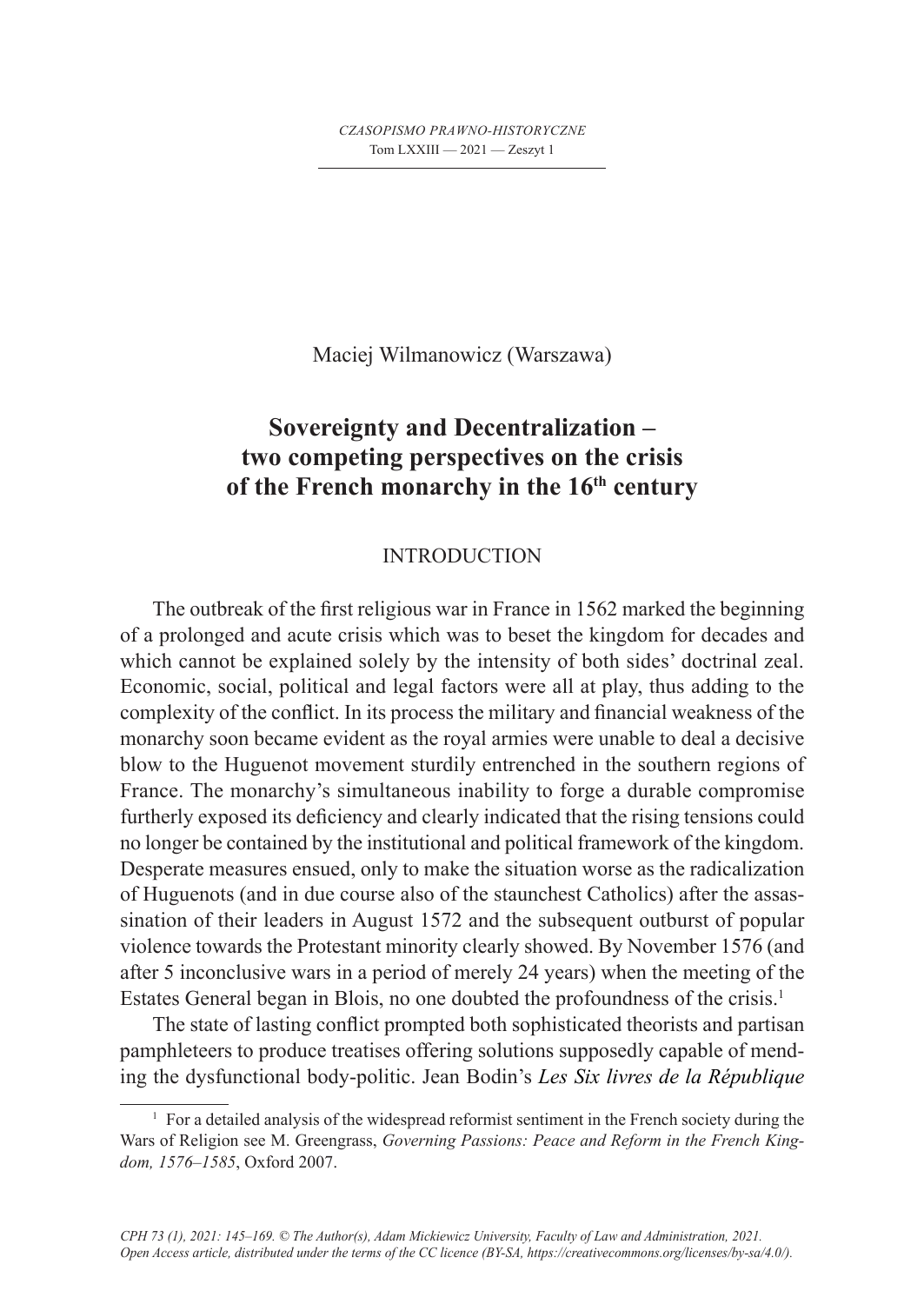*CZASOPISMO PRAWNO-HISTORYCZNE* Tom LXXIII — 2021 — Zeszyt 1

Maciej Wilmanowicz (Warszawa)

# **Sovereignty and Decentralization – two competing perspectives on the crisis of the French monarchy in the 16th century**

### **INTRODUCTION**

The outbreak of the first religious war in France in 1562 marked the beginning of a prolonged and acute crisis which was to beset the kingdom for decades and which cannot be explained solely by the intensity of both sides' doctrinal zeal. Economic, social, political and legal factors were all at play, thus adding to the complexity of the conflict. In its process the military and financial weakness of the monarchy soon became evident as the royal armies were unable to deal a decisive blow to the Huguenot movement sturdily entrenched in the southern regions of France. The monarchy's simultaneous inability to forge a durable compromise furtherly exposed its deficiency and clearly indicated that the rising tensions could no longer be contained by the institutional and political framework of the kingdom. Desperate measures ensued, only to make the situation worse as the radicalization of Huguenots (and in due course also of the staunchest Catholics) after the assassination of their leaders in August 1572 and the subsequent outburst of popular violence towards the Protestant minority clearly showed. By November 1576 (and after 5 inconclusive wars in a period of merely 24 years) when the meeting of the Estates General began in Blois, no one doubted the profoundness of the crisis.<sup>1</sup>

The state of lasting conflict prompted both sophisticated theorists and partisan pamphleteers to produce treatises offering solutions supposedly capable of mending the dysfunctional body-politic. Jean Bodin's *Les Six livres de la République*

<sup>1</sup> For a detailed analysis of the widespread reformist sentiment in the French society during the Wars of Religion see M. Greengrass, *Governing Passions: Peace and Reform in the French Kingdom, 1576–1585*, Oxford 2007.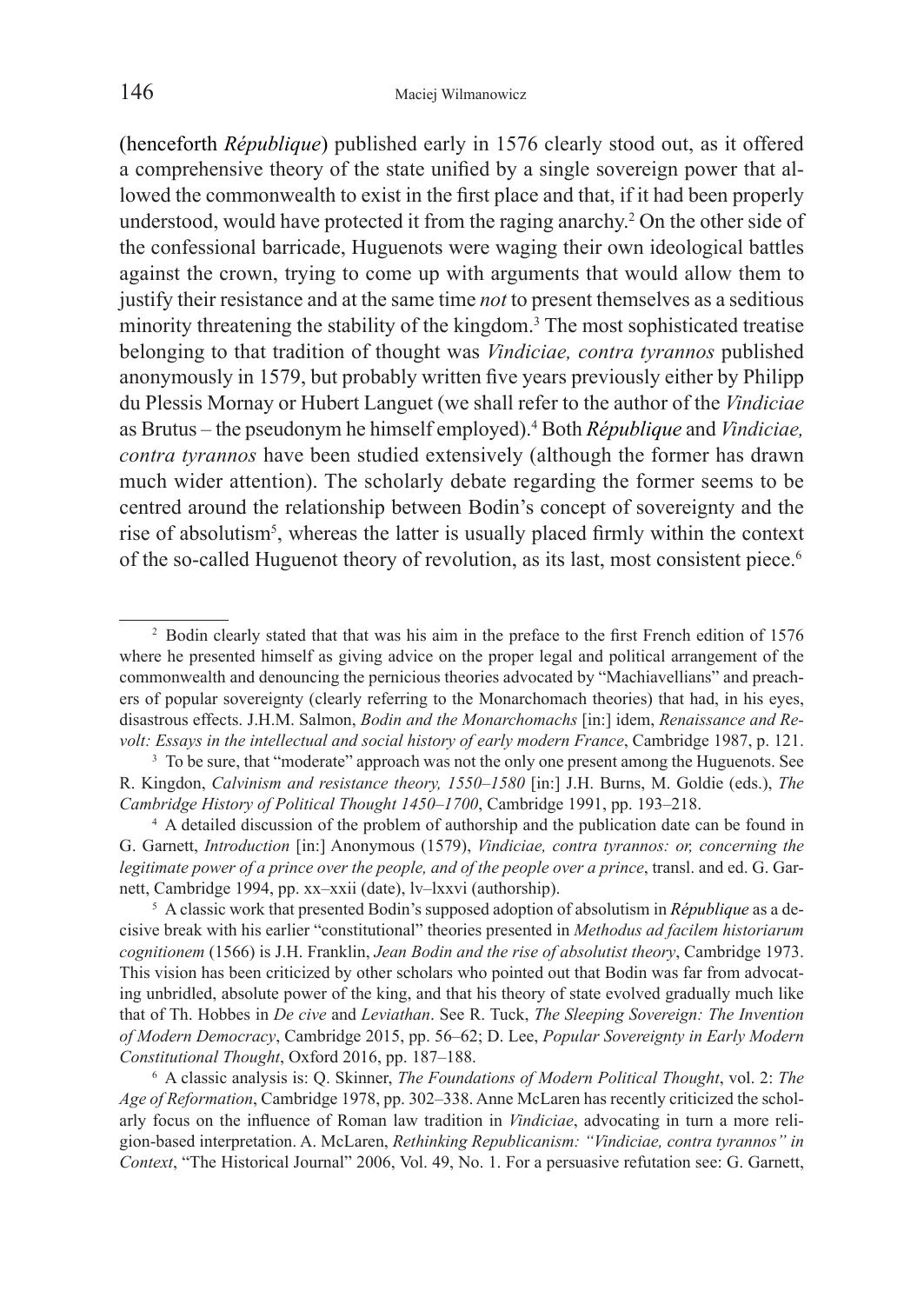(henceforth *République*) published early in 1576 clearly stood out, as it offered a comprehensive theory of the state unified by a single sovereign power that allowed the commonwealth to exist in the first place and that, if it had been properly understood, would have protected it from the raging anarchy.<sup>2</sup> On the other side of the confessional barricade, Huguenots were waging their own ideological battles against the crown, trying to come up with arguments that would allow them to justify their resistance and at the same time *not* to present themselves as a seditious minority threatening the stability of the kingdom.<sup>3</sup> The most sophisticated treatise belonging to that tradition of thought was *Vindiciae, contra tyrannos* published anonymously in 1579, but probably written five years previously either by Philipp du Plessis Mornay or Hubert Languet (we shall refer to the author of the *Vindiciae* as Brutus – the pseudonym he himself employed).4 Both *République* and *Vindiciae, contra tyrannos* have been studied extensively (although the former has drawn much wider attention). The scholarly debate regarding the former seems to be centred around the relationship between Bodin's concept of sovereignty and the rise of absolutism<sup>5</sup>, whereas the latter is usually placed firmly within the context of the so-called Huguenot theory of revolution, as its last, most consistent piece.<sup>6</sup>

<sup>&</sup>lt;sup>2</sup> Bodin clearly stated that that was his aim in the preface to the first French edition of 1576 where he presented himself as giving advice on the proper legal and political arrangement of the commonwealth and denouncing the pernicious theories advocated by "Machiavellians" and preachers of popular sovereignty (clearly referring to the Monarchomach theories) that had, in his eyes, disastrous effects. J.H.M. Salmon, *Bodin and the Monarchomachs* [in:] idem, *Renaissance and Revolt: Essays in the intellectual and social history of early modern France*, Cambridge 1987, p. 121.

<sup>&</sup>lt;sup>3</sup> To be sure, that "moderate" approach was not the only one present among the Huguenots. See R. Kingdon, *Calvinism and resistance theory, 1550–1580* [in:] J.H. Burns, M. Goldie (eds.), *The Cambridge History of Political Thought 1450–1700*, Cambridge 1991, pp. 193–218. 4 <sup>A</sup> detailed discussion of the problem of authorship and the publication date can be found in

G. Garnett, *Introduction* [in:] Anonymous (1579), *Vindiciae, contra tyrannos: or, concerning the legitimate power of a prince over the people, and of the people over a prince*, transl. and ed. G. Garnett, Cambridge 1994, pp. xx–xxii (date), lv–lxxvi (authorship).

<sup>5</sup> A classic work that presented Bodin's supposed adoption of absolutism in *République* as a decisive break with his earlier "constitutional" theories presented in *Methodus ad facilem historiarum cognitionem* (1566) is J.H. Franklin, *Jean Bodin and the rise of absolutist theory*, Cambridge 1973. This vision has been criticized by other scholars who pointed out that Bodin was far from advocating unbridled, absolute power of the king, and that his theory of state evolved gradually much like that of Th. Hobbes in *De cive* and *Leviathan*. See R. Tuck, *The Sleeping Sovereign: The Invention of Modern Democracy*, Cambridge 2015, pp. 56–62; D. Lee, *Popular Sovereignty in Early Modern Constitutional Thought*, Oxford 2016, pp. 187–188.

<sup>6</sup> A classic analysis is: Q. Skinner, *The Foundations of Modern Political Thought*, vol. 2: *The Age of Reformation*, Cambridge 1978, pp. 302–338. Anne McLaren has recently criticized the scholarly focus on the influence of Roman law tradition in *Vindiciae*, advocating in turn a more religion-based interpretation. A. McLaren, *Rethinking Republicanism: "Vindiciae, contra tyrannos" in Context*, "The Historical Journal" 2006, Vol. 49, No. 1. For a persuasive refutation see: G. Garnett,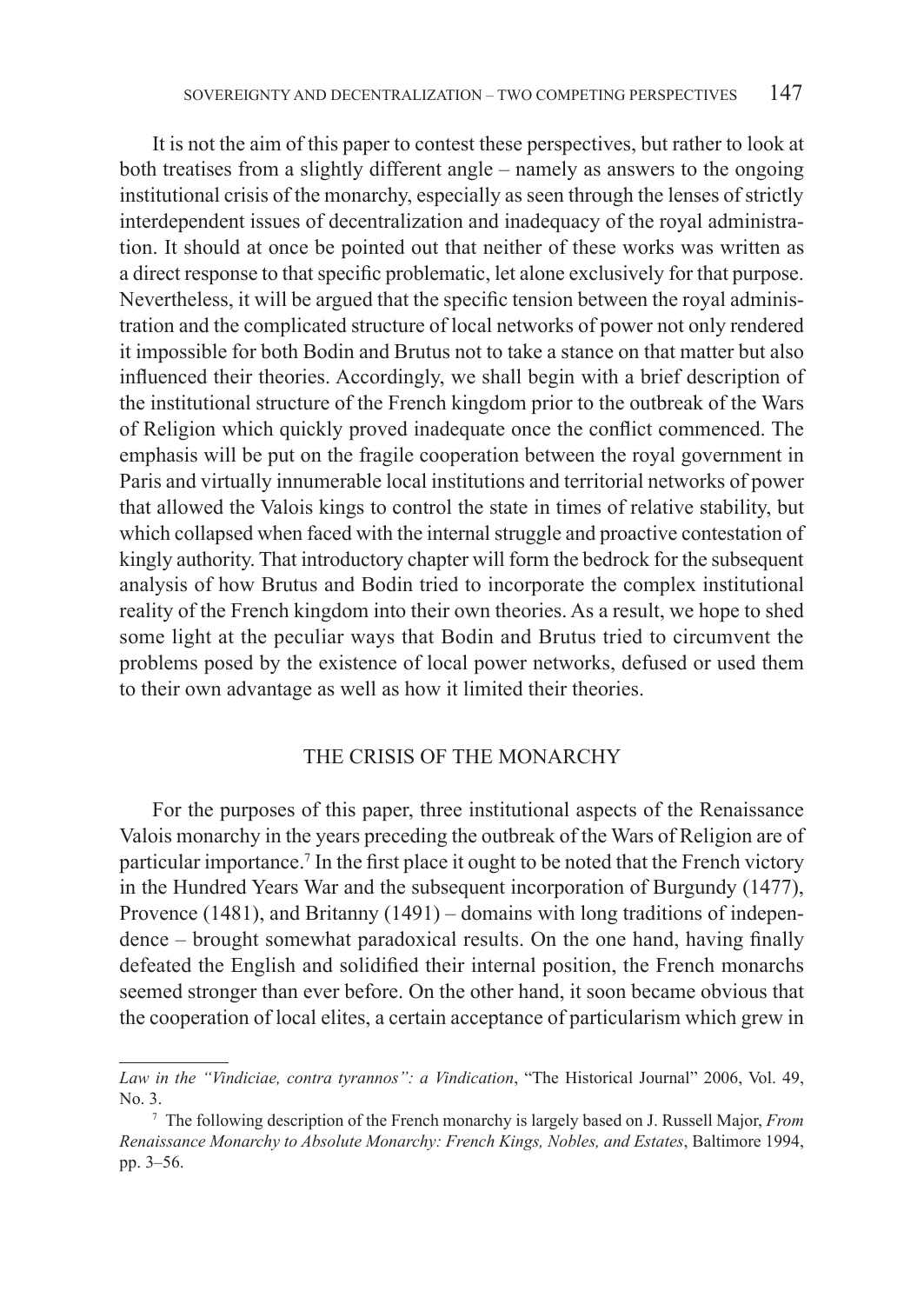It is not the aim of this paper to contest these perspectives, but rather to look at both treatises from a slightly different angle – namely as answers to the ongoing institutional crisis of the monarchy, especially as seen through the lenses of strictly interdependent issues of decentralization and inadequacy of the royal administration. It should at once be pointed out that neither of these works was written as a direct response to that specific problematic, let alone exclusively for that purpose. Nevertheless, it will be argued that the specific tension between the royal administration and the complicated structure of local networks of power not only rendered it impossible for both Bodin and Brutus not to take a stance on that matter but also influenced their theories. Accordingly, we shall begin with a brief description of the institutional structure of the French kingdom prior to the outbreak of the Wars of Religion which quickly proved inadequate once the conflict commenced. The emphasis will be put on the fragile cooperation between the royal government in Paris and virtually innumerable local institutions and territorial networks of power that allowed the Valois kings to control the state in times of relative stability, but which collapsed when faced with the internal struggle and proactive contestation of kingly authority. That introductory chapter will form the bedrock for the subsequent analysis of how Brutus and Bodin tried to incorporate the complex institutional reality of the French kingdom into their own theories. As a result, we hope to shed some light at the peculiar ways that Bodin and Brutus tried to circumvent the problems posed by the existence of local power networks, defused or used them to their own advantage as well as how it limited their theories.

### THE CRISIS OF THE MONARCHY

For the purposes of this paper, three institutional aspects of the Renaissance Valois monarchy in the years preceding the outbreak of the Wars of Religion are of particular importance.<sup>7</sup> In the first place it ought to be noted that the French victory in the Hundred Years War and the subsequent incorporation of Burgundy (1477), Provence (1481), and Britanny (1491) – domains with long traditions of independence – brought somewhat paradoxical results. On the one hand, having finally defeated the English and solidified their internal position, the French monarchs seemed stronger than ever before. On the other hand, it soon became obvious that the cooperation of local elites, a certain acceptance of particularism which grew in

*Law in the "Vindiciae, contra tyrannos": a Vindication*, "The Historical Journal" 2006, Vol. 49, No. 3.

<sup>7</sup> The following description of the French monarchy is largely based on J. Russell Major, *From Renaissance Monarchy to Absolute Monarchy: French Kings, Nobles, and Estates*, Baltimore 1994, pp. 3–56.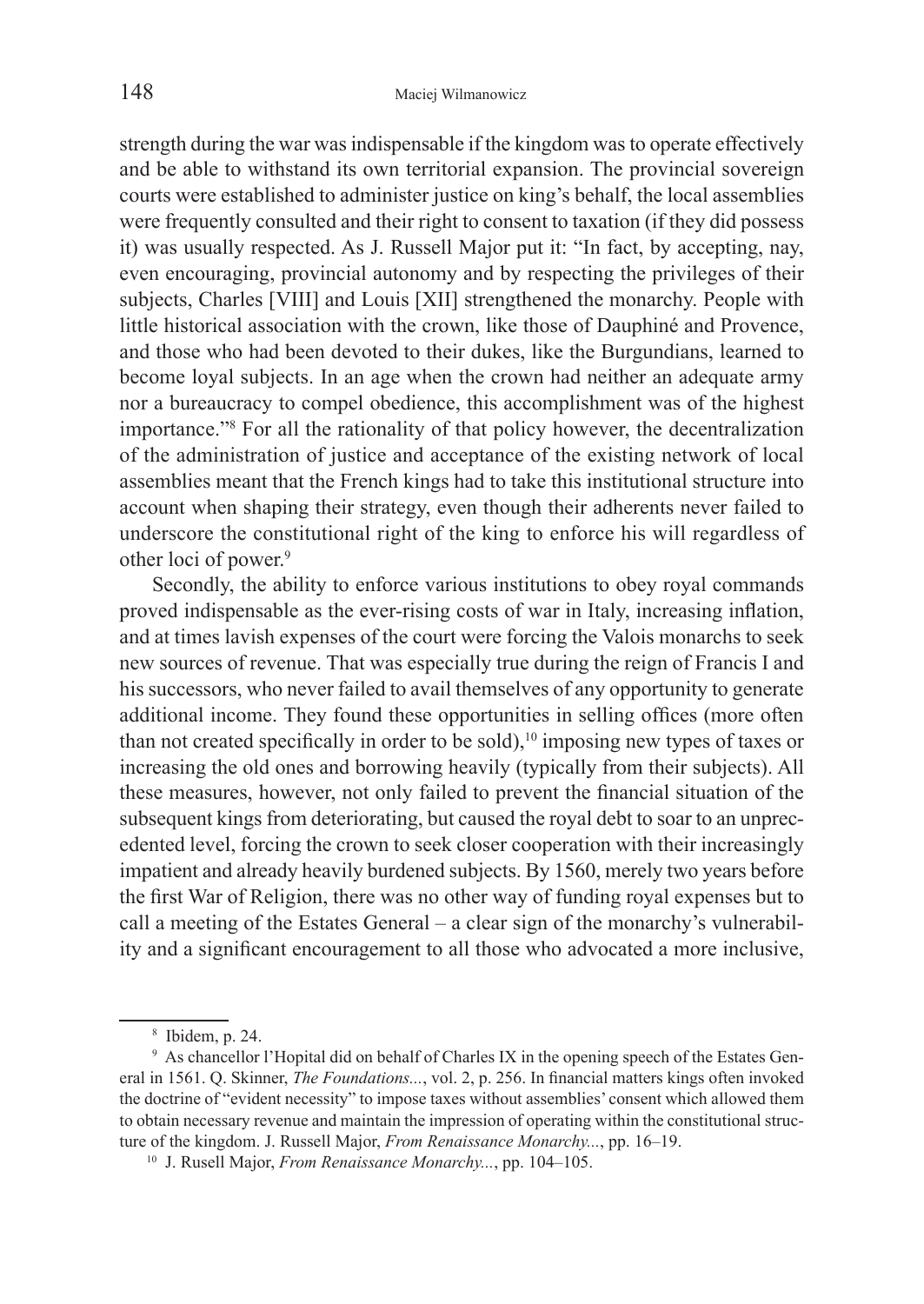strength during the war was indispensable if the kingdom was to operate effectively and be able to withstand its own territorial expansion. The provincial sovereign courts were established to administer justice on king's behalf, the local assemblies were frequently consulted and their right to consent to taxation (if they did possess it) was usually respected. As J. Russell Major put it: "In fact, by accepting, nay, even encouraging, provincial autonomy and by respecting the privileges of their subjects, Charles [VIII] and Louis [XII] strengthened the monarchy. People with little historical association with the crown, like those of Dauphiné and Provence, and those who had been devoted to their dukes, like the Burgundians, learned to become loyal subjects. In an age when the crown had neither an adequate army nor a bureaucracy to compel obedience, this accomplishment was of the highest importance."8 For all the rationality of that policy however, the decentralization of the administration of justice and acceptance of the existing network of local assemblies meant that the French kings had to take this institutional structure into account when shaping their strategy, even though their adherents never failed to underscore the constitutional right of the king to enforce his will regardless of other loci of power.<sup>9</sup>

Secondly, the ability to enforce various institutions to obey royal commands proved indispensable as the ever-rising costs of war in Italy, increasing inflation, and at times lavish expenses of the court were forcing the Valois monarchs to seek new sources of revenue. That was especially true during the reign of Francis I and his successors, who never failed to avail themselves of any opportunity to generate additional income. They found these opportunities in selling offices (more often than not created specifically in order to be sold),<sup>10</sup> imposing new types of taxes or increasing the old ones and borrowing heavily (typically from their subjects). All these measures, however, not only failed to prevent the financial situation of the subsequent kings from deteriorating, but caused the royal debt to soar to an unprecedented level, forcing the crown to seek closer cooperation with their increasingly impatient and already heavily burdened subjects. By 1560, merely two years before the first War of Religion, there was no other way of funding royal expenses but to call a meeting of the Estates General – a clear sign of the monarchy's vulnerability and a significant encouragement to all those who advocated a more inclusive,

<sup>8</sup> Ibidem, p. 24.

<sup>9</sup> As chancellor l'Hopital did on behalf of Charles IX in the opening speech of the Estates General in 1561. Q. Skinner, *The Foundations...*, vol. 2, p. 256. In financial matters kings often invoked the doctrine of "evident necessity" to impose taxes without assemblies' consent which allowed them to obtain necessary revenue and maintain the impression of operating within the constitutional structure of the kingdom. J. Russell Major, *From Renaissance Monarchy...*, pp. 16–19.

<sup>10</sup> J. Rusell Major, *From Renaissance Monarchy...*, pp. 104–105.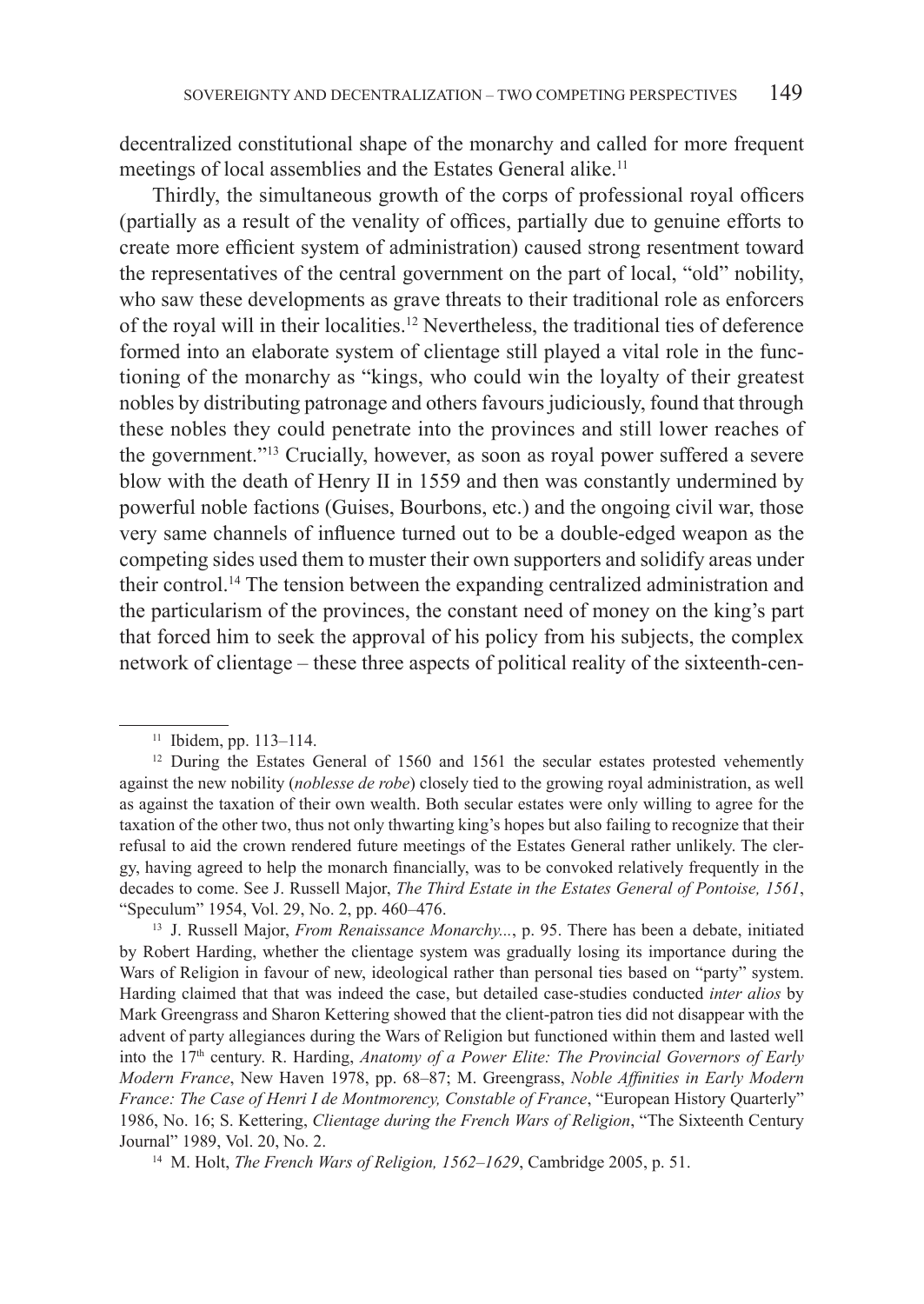decentralized constitutional shape of the monarchy and called for more frequent meetings of local assemblies and the Estates General alike.<sup>11</sup>

Thirdly, the simultaneous growth of the corps of professional royal officers (partially as a result of the venality of offices, partially due to genuine efforts to create more efficient system of administration) caused strong resentment toward the representatives of the central government on the part of local, "old" nobility, who saw these developments as grave threats to their traditional role as enforcers of the royal will in their localities.<sup>12</sup> Nevertheless, the traditional ties of deference formed into an elaborate system of clientage still played a vital role in the functioning of the monarchy as "kings, who could win the loyalty of their greatest nobles by distributing patronage and others favours judiciously, found that through these nobles they could penetrate into the provinces and still lower reaches of the government."<sup>13</sup> Crucially, however, as soon as royal power suffered a severe blow with the death of Henry II in 1559 and then was constantly undermined by powerful noble factions (Guises, Bourbons, etc.) and the ongoing civil war, those very same channels of influence turned out to be a double-edged weapon as the competing sides used them to muster their own supporters and solidify areas under their control.14 The tension between the expanding centralized administration and the particularism of the provinces, the constant need of money on the king's part that forced him to seek the approval of his policy from his subjects, the complex network of clientage – these three aspects of political reality of the sixteenth-cen-

<sup>11</sup> Ibidem, pp. 113–114.

<sup>&</sup>lt;sup>12</sup> During the Estates General of 1560 and 1561 the secular estates protested vehemently against the new nobility (*noblesse de robe*) closely tied to the growing royal administration, as well as against the taxation of their own wealth. Both secular estates were only willing to agree for the taxation of the other two, thus not only thwarting king's hopes but also failing to recognize that their refusal to aid the crown rendered future meetings of the Estates General rather unlikely. The clergy, having agreed to help the monarch financially, was to be convoked relatively frequently in the decades to come. See J. Russell Major, *The Third Estate in the Estates General of Pontoise, 1561*, "Speculum" 1954, Vol. 29, No. 2, pp. 460–476.

<sup>&</sup>lt;sup>13</sup> J. Russell Major, *From Renaissance Monarchy...*, p. 95. There has been a debate, initiated by Robert Harding, whether the clientage system was gradually losing its importance during the Wars of Religion in favour of new, ideological rather than personal ties based on "party" system. Harding claimed that that was indeed the case, but detailed case-studies conducted *inter alios* by Mark Greengrass and Sharon Kettering showed that the client-patron ties did not disappear with the advent of party allegiances during the Wars of Religion but functioned within them and lasted well into the 17th century. R. Harding, *Anatomy of a Power Elite: The Provincial Governors of Early Modern France*, New Haven 1978, pp. 68–87; M. Greengrass, *Noble Affinities in Early Modern France: The Case of Henri I de Montmorency, Constable of France*, "European History Quarterly" 1986, No. 16; S. Kettering, *Clientage during the French Wars of Religion*, "The Sixteenth Century Journal" 1989, Vol. 20, No. 2.

<sup>14</sup> M. Holt, *The French Wars of Religion, 1562–1629*, Cambridge 2005, p. 51.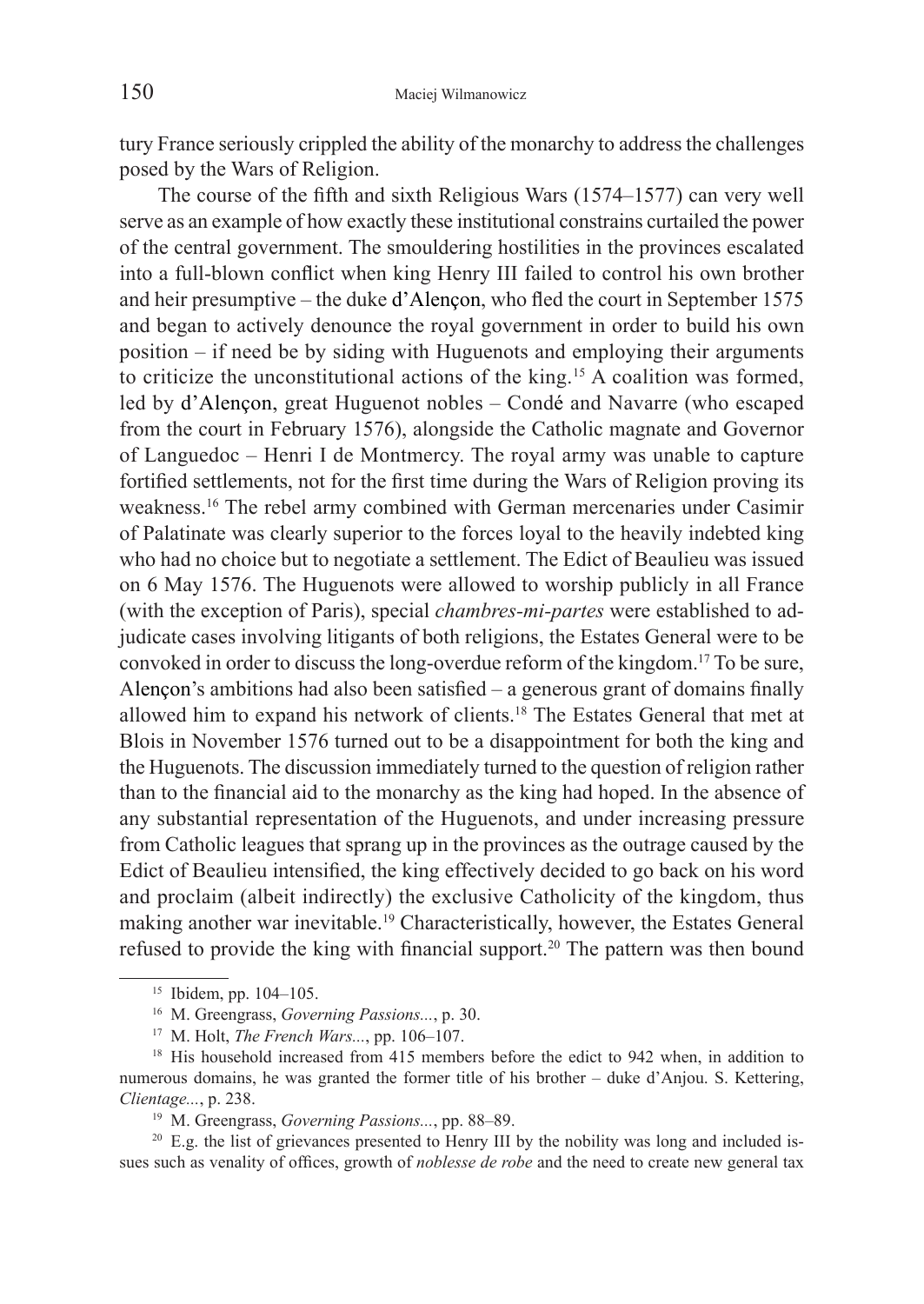tury France seriously crippled the ability of the monarchy to address the challenges posed by the Wars of Religion.

 The course of the fifth and sixth Religious Wars (1574–1577) can very well serve as an example of how exactly these institutional constrains curtailed the power of the central government. The smouldering hostilities in the provinces escalated into a full-blown conflict when king Henry III failed to control his own brother and heir presumptive – the duke d'Alençon, who fled the court in September 1575 and began to actively denounce the royal government in order to build his own position – if need be by siding with Huguenots and employing their arguments to criticize the unconstitutional actions of the king.15 A coalition was formed, led by d'Alençon, great Huguenot nobles – Condé and Navarre (who escaped from the court in February 1576), alongside the Catholic magnate and Governor of Languedoc – Henri I de Montmercy. The royal army was unable to capture fortified settlements, not for the first time during the Wars of Religion proving its weakness.16 The rebel army combined with German mercenaries under Casimir of Palatinate was clearly superior to the forces loyal to the heavily indebted king who had no choice but to negotiate a settlement. The Edict of Beaulieu was issued on 6 May 1576. The Huguenots were allowed to worship publicly in all France (with the exception of Paris), special *chambres-mi-partes* were established to adjudicate cases involving litigants of both religions, the Estates General were to be convoked in order to discuss the long-overdue reform of the kingdom.17 To be sure, Alençon's ambitions had also been satisfied – a generous grant of domains finally allowed him to expand his network of clients.18 The Estates General that met at Blois in November 1576 turned out to be a disappointment for both the king and the Huguenots. The discussion immediately turned to the question of religion rather than to the financial aid to the monarchy as the king had hoped. In the absence of any substantial representation of the Huguenots, and under increasing pressure from Catholic leagues that sprang up in the provinces as the outrage caused by the Edict of Beaulieu intensified, the king effectively decided to go back on his word and proclaim (albeit indirectly) the exclusive Catholicity of the kingdom, thus making another war inevitable.19 Characteristically, however, the Estates General refused to provide the king with financial support.<sup>20</sup> The pattern was then bound

<sup>15</sup> Ibidem, pp. 104–105.

<sup>16</sup> M. Greengrass, *Governing Passions...*, p. 30.

<sup>17</sup> M. Holt, *The French Wars...*, pp. 106–107.

<sup>&</sup>lt;sup>18</sup> His household increased from 415 members before the edict to 942 when, in addition to numerous domains, he was granted the former title of his brother – duke d'Anjou. S. Kettering, *Clientage...*, p. 238.

<sup>19</sup> M. Greengrass, *Governing Passions...*, pp. 88–89.

 $20$  E.g. the list of grievances presented to Henry III by the nobility was long and included issues such as venality of offices, growth of *noblesse de robe* and the need to create new general tax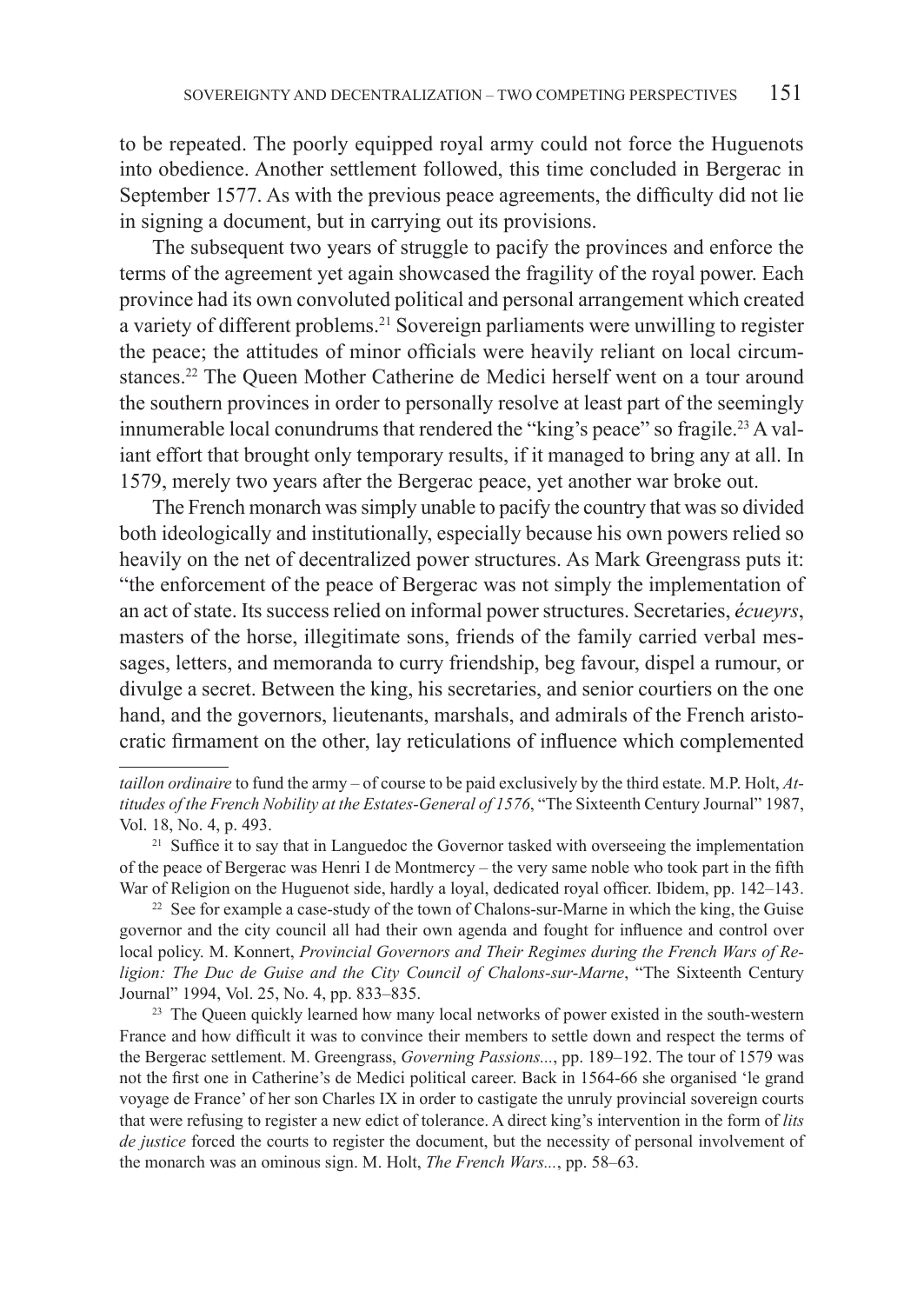to be repeated. The poorly equipped royal army could not force the Huguenots into obedience. Another settlement followed, this time concluded in Bergerac in September 1577. As with the previous peace agreements, the difficulty did not lie in signing a document, but in carrying out its provisions.

The subsequent two years of struggle to pacify the provinces and enforce the terms of the agreement yet again showcased the fragility of the royal power. Each province had its own convoluted political and personal arrangement which created a variety of different problems.<sup>21</sup> Sovereign parliaments were unwilling to register the peace; the attitudes of minor officials were heavily reliant on local circumstances.<sup>22</sup> The Queen Mother Catherine de Medici herself went on a tour around the southern provinces in order to personally resolve at least part of the seemingly innumerable local conundrums that rendered the "king's peace" so fragile.<sup>23</sup> A valiant effort that brought only temporary results, if it managed to bring any at all. In 1579, merely two years after the Bergerac peace, yet another war broke out.

The French monarch was simply unable to pacify the country that was so divided both ideologically and institutionally, especially because his own powers relied so heavily on the net of decentralized power structures. As Mark Greengrass puts it: "the enforcement of the peace of Bergerac was not simply the implementation of an act of state. Its success relied on informal power structures. Secretaries, *écueyrs*, masters of the horse, illegitimate sons, friends of the family carried verbal messages, letters, and memoranda to curry friendship, beg favour, dispel a rumour, or divulge a secret. Between the king, his secretaries, and senior courtiers on the one hand, and the governors, lieutenants, marshals, and admirals of the French aristocratic firmament on the other, lay reticulations of influence which complemented

*taillon ordinaire* to fund the army – of course to be paid exclusively by the third estate. M.P. Holt, *Attitudes of the French Nobility at the Estates-General of 1576*, "The Sixteenth Century Journal" 1987, Vol. 18, No. 4, p. 493.

 $21$  Suffice it to say that in Languedoc the Governor tasked with overseeing the implementation of the peace of Bergerac was Henri I de Montmercy – the very same noble who took part in the fifth War of Religion on the Huguenot side, hardly a loyal, dedicated royal officer. Ibidem, pp. 142–143.

<sup>&</sup>lt;sup>22</sup> See for example a case-study of the town of Chalons-sur-Marne in which the king, the Guise governor and the city council all had their own agenda and fought for influence and control over local policy. M. Konnert, *Provincial Governors and Their Regimes during the French Wars of Religion: The Duc de Guise and the City Council of Chalons-sur-Marne*, "The Sixteenth Century Journal" 1994, Vol. 25, No. 4, pp. 833–835.

<sup>&</sup>lt;sup>23</sup> The Queen quickly learned how many local networks of power existed in the south-western France and how difficult it was to convince their members to settle down and respect the terms of the Bergerac settlement. M. Greengrass, *Governing Passions...*, pp. 189–192. The tour of 1579 was not the first one in Catherine's de Medici political career. Back in 1564-66 she organised 'le grand voyage de France' of her son Charles IX in order to castigate the unruly provincial sovereign courts that were refusing to register a new edict of tolerance. A direct king's intervention in the form of *lits de justice* forced the courts to register the document, but the necessity of personal involvement of the monarch was an ominous sign. M. Holt, *The French Wars...*, pp. 58–63.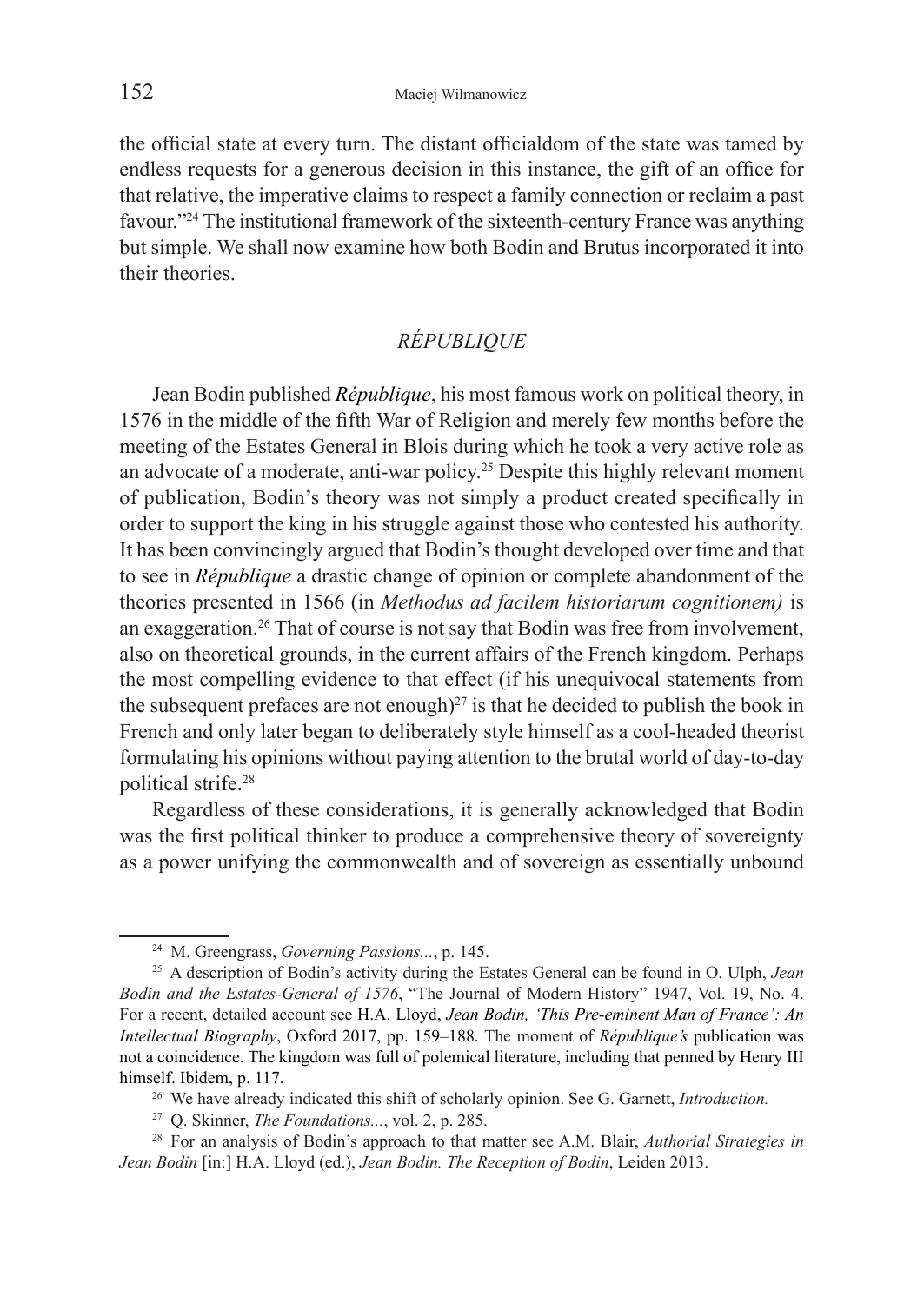the official state at every turn. The distant officialdom of the state was tamed by endless requests for a generous decision in this instance, the gift of an office for that relative, the imperative claims to respect a family connection or reclaim a past favour."24 The institutional framework of the sixteenth-century France was anything but simple. We shall now examine how both Bodin and Brutus incorporated it into their theories.

# *RÉPUBLIQUE*

Jean Bodin published *République*, his most famous work on political theory, in 1576 in the middle of the fifth War of Religion and merely few months before the meeting of the Estates General in Blois during which he took a very active role as an advocate of a moderate, anti-war policy.25 Despite this highly relevant moment of publication, Bodin's theory was not simply a product created specifically in order to support the king in his struggle against those who contested his authority. It has been convincingly argued that Bodin's thought developed over time and that to see in *République* a drastic change of opinion or complete abandonment of the theories presented in 1566 (in *Methodus ad facilem historiarum cognitionem)* is an exaggeration.26 That of course is not say that Bodin was free from involvement, also on theoretical grounds, in the current affairs of the French kingdom. Perhaps the most compelling evidence to that effect (if his unequivocal statements from the subsequent prefaces are not enough)<sup>27</sup> is that he decided to publish the book in French and only later began to deliberately style himself as a cool-headed theorist formulating his opinions without paying attention to the brutal world of day-to-day political strife.28

Regardless of these considerations, it is generally acknowledged that Bodin was the first political thinker to produce a comprehensive theory of sovereignty as a power unifying the commonwealth and of sovereign as essentially unbound

<sup>24</sup> M. Greengrass, *Governing Passions...*, p. 145.

<sup>25</sup> A description of Bodin's activity during the Estates General can be found in O. Ulph, *Jean Bodin and the Estates-General of 1576*, "The Journal of Modern History" 1947, Vol. 19, No. 4. For a recent, detailed account see H.A. Lloyd, *Jean Bodin, 'This Pre-eminent Man of France': An Intellectual Biography*, Oxford 2017, pp. 159–188. The moment of *République's* publication was not a coincidence. The kingdom was full of polemical literature, including that penned by Henry III himself. Ibidem, p. 117.

<sup>26</sup> We have already indicated this shift of scholarly opinion. See G. Garnett, *Introduction.*

<sup>27</sup> Q. Skinner, *The Foundations...*, vol. 2, p. 285.

<sup>28</sup> For an analysis of Bodin's approach to that matter see A.M. Blair, *Authorial Strategies in Jean Bodin* [in:] H.A. Lloyd (ed.), *Jean Bodin. The Reception of Bodin*, Leiden 2013.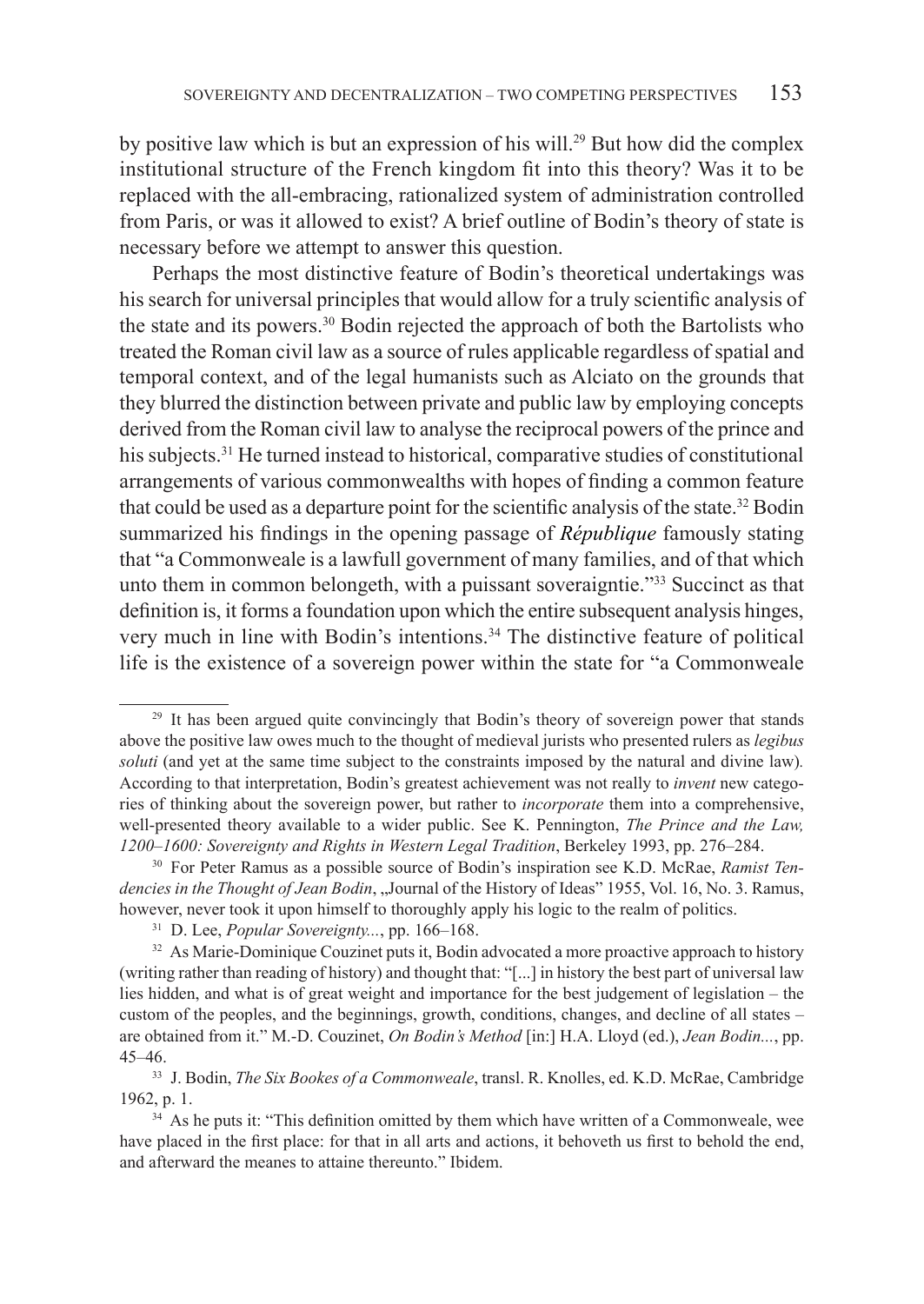by positive law which is but an expression of his will.29 But how did the complex institutional structure of the French kingdom fit into this theory? Was it to be replaced with the all-embracing, rationalized system of administration controlled from Paris, or was it allowed to exist? A brief outline of Bodin's theory of state is necessary before we attempt to answer this question.

Perhaps the most distinctive feature of Bodin's theoretical undertakings was his search for universal principles that would allow for a truly scientific analysis of the state and its powers.<sup>30</sup> Bodin rejected the approach of both the Bartolists who treated the Roman civil law as a source of rules applicable regardless of spatial and temporal context, and of the legal humanists such as Alciato on the grounds that they blurred the distinction between private and public law by employing concepts derived from the Roman civil law to analyse the reciprocal powers of the prince and his subjects.<sup>31</sup> He turned instead to historical, comparative studies of constitutional arrangements of various commonwealths with hopes of finding a common feature that could be used as a departure point for the scientific analysis of the state.<sup>32</sup> Bodin summarized his findings in the opening passage of *République* famously stating that "a Commonweale is a lawfull government of many families, and of that which unto them in common belongeth, with a puissant soveraigntie."<sup>33</sup> Succinct as that definition is, it forms a foundation upon which the entire subsequent analysis hinges, very much in line with Bodin's intentions.34 The distinctive feature of political life is the existence of a sovereign power within the state for "a Commonweale

<sup>&</sup>lt;sup>29</sup> It has been argued quite convincingly that Bodin's theory of sovereign power that stands above the positive law owes much to the thought of medieval jurists who presented rulers as *legibus soluti* (and yet at the same time subject to the constraints imposed by the natural and divine law)*.*  According to that interpretation, Bodin's greatest achievement was not really to *invent* new categories of thinking about the sovereign power, but rather to *incorporate* them into a comprehensive, well-presented theory available to a wider public. See K. Pennington, *The Prince and the Law, 1200–1600: Sovereignty and Rights in Western Legal Tradition*, Berkeley 1993, pp. 276–284.

<sup>30</sup> For Peter Ramus as a possible source of Bodin's inspiration see K.D. McRae, *Ramist Ten*dencies in the Thought of Jean Bodin, "Journal of the History of Ideas" 1955, Vol. 16, No. 3. Ramus, however, never took it upon himself to thoroughly apply his logic to the realm of politics.

<sup>31</sup> D. Lee, *Popular Sovereignty...*, pp. 166–168.

<sup>&</sup>lt;sup>32</sup> As Marie-Dominique Couzinet puts it, Bodin advocated a more proactive approach to history (writing rather than reading of history) and thought that: "[...] in history the best part of universal law lies hidden, and what is of great weight and importance for the best judgement of legislation – the custom of the peoples, and the beginnings, growth, conditions, changes, and decline of all states – are obtained from it." M.-D. Couzinet, *On Bodin's Method* [in:] H.A. Lloyd (ed.), *Jean Bodin...*, pp. 45–46.

<sup>33</sup> J. Bodin, *The Six Bookes of a Commonweale*, transl. R. Knolles, ed. K.D. McRae, Cambridge 1962, p. 1.

<sup>&</sup>lt;sup>34</sup> As he puts it: "This definition omitted by them which have written of a Commonweale, wee have placed in the first place: for that in all arts and actions, it behoveth us first to behold the end, and afterward the meanes to attaine thereunto." Ibidem.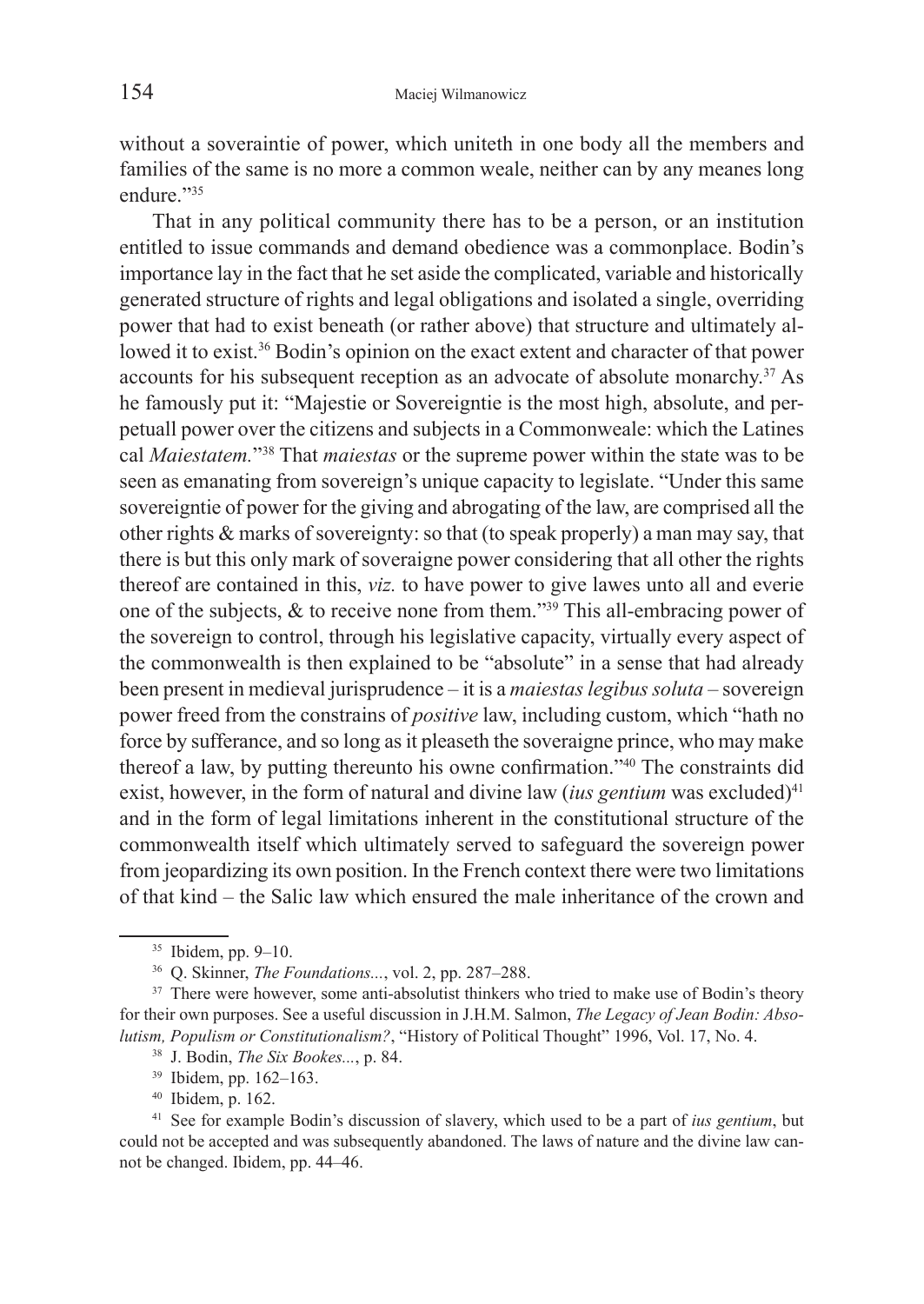without a soveraintie of power, which uniteth in one body all the members and families of the same is no more a common weale, neither can by any meanes long endure."35

That in any political community there has to be a person, or an institution entitled to issue commands and demand obedience was a commonplace. Bodin's importance lay in the fact that he set aside the complicated, variable and historically generated structure of rights and legal obligations and isolated a single, overriding power that had to exist beneath (or rather above) that structure and ultimately allowed it to exist.<sup>36</sup> Bodin's opinion on the exact extent and character of that power accounts for his subsequent reception as an advocate of absolute monarchy.37 As he famously put it: "Majestie or Sovereigntie is the most high, absolute, and perpetuall power over the citizens and subjects in a Commonweale: which the Latines cal *Maiestatem.*"38 That *maiestas* or the supreme power within the state was to be seen as emanating from sovereign's unique capacity to legislate. "Under this same sovereigntie of power for the giving and abrogating of the law, are comprised all the other rights & marks of sovereignty: so that (to speak properly) a man may say, that there is but this only mark of soveraigne power considering that all other the rights thereof are contained in this, *viz.* to have power to give lawes unto all and everie one of the subjects, & to receive none from them."39 This all-embracing power of the sovereign to control, through his legislative capacity, virtually every aspect of the commonwealth is then explained to be "absolute" in a sense that had already been present in medieval jurisprudence – it is a *maiestas legibus soluta* – sovereign power freed from the constrains of *positive* law, including custom, which "hath no force by sufferance, and so long as it pleaseth the soveraigne prince, who may make thereof a law, by putting thereunto his owne confirmation."40 The constraints did exist, however, in the form of natural and divine law (*ius gentium* was excluded)<sup>41</sup> and in the form of legal limitations inherent in the constitutional structure of the commonwealth itself which ultimately served to safeguard the sovereign power from jeopardizing its own position. In the French context there were two limitations of that kind – the Salic law which ensured the male inheritance of the crown and

<sup>40</sup> Ibidem, p. 162.

<sup>&</sup>lt;sup>35</sup> Ibidem, pp. 9–10.<br><sup>36</sup> O. Skinner, *The Foundations*..., vol. 2, pp. 287–288.

<sup>&</sup>lt;sup>37</sup> There were however, some anti-absolutist thinkers who tried to make use of Bodin's theory for their own purposes. See a useful discussion in J.H.M. Salmon, *The Legacy of Jean Bodin: Absolutism, Populism or Constitutionalism?*, "History of Political Thought" 1996, Vol. 17, No. 4. 38 J. Bodin, *The Six Bookes...*, p. 84.

<sup>39</sup> Ibidem, pp. 162–163.

<sup>41</sup> See for example Bodin's discussion of slavery, which used to be a part of *ius gentium*, but could not be accepted and was subsequently abandoned. The laws of nature and the divine law cannot be changed. Ibidem, pp. 44–46.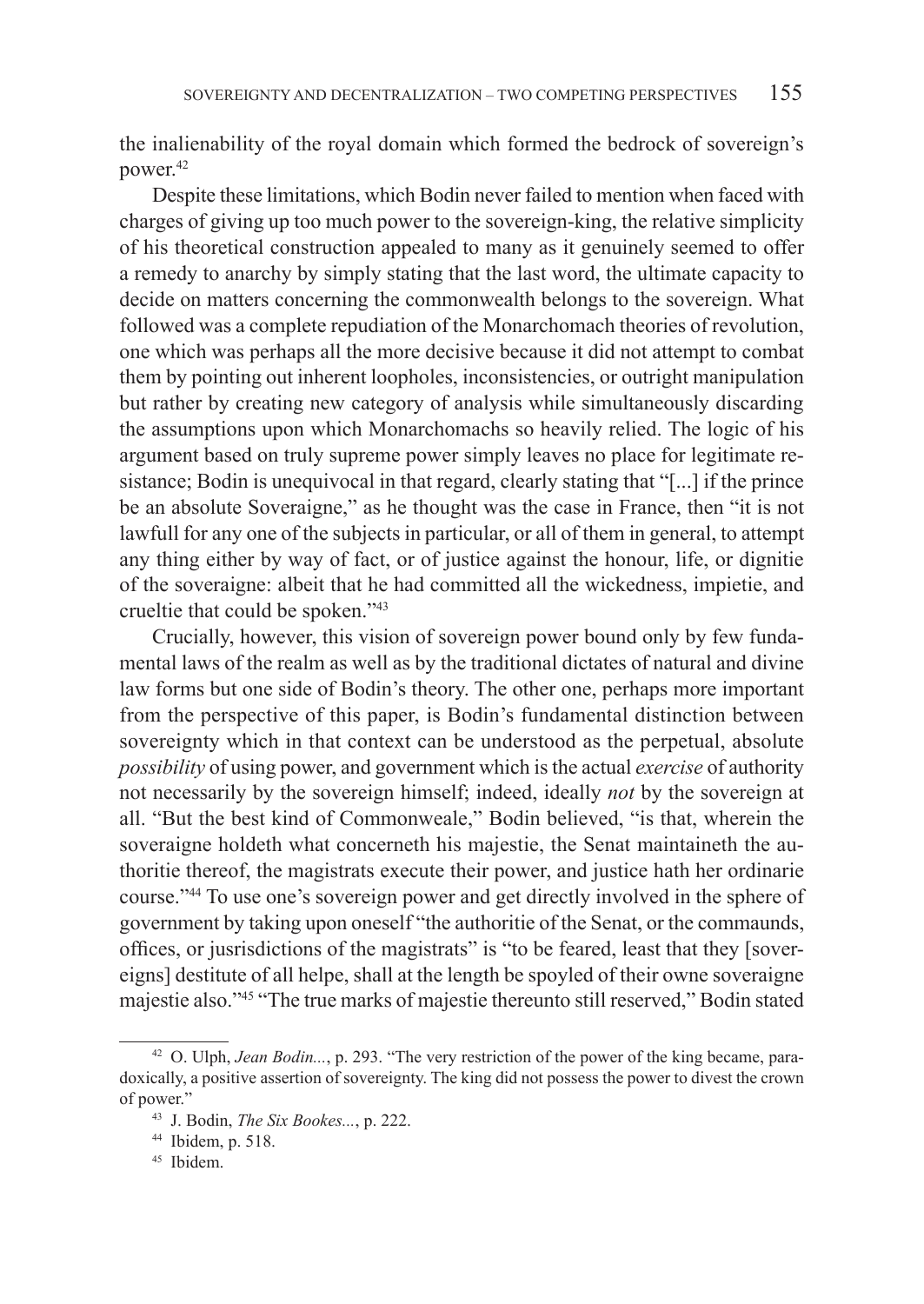the inalienability of the royal domain which formed the bedrock of sovereign's power.42

Despite these limitations, which Bodin never failed to mention when faced with charges of giving up too much power to the sovereign-king, the relative simplicity of his theoretical construction appealed to many as it genuinely seemed to offer a remedy to anarchy by simply stating that the last word, the ultimate capacity to decide on matters concerning the commonwealth belongs to the sovereign. What followed was a complete repudiation of the Monarchomach theories of revolution, one which was perhaps all the more decisive because it did not attempt to combat them by pointing out inherent loopholes, inconsistencies, or outright manipulation but rather by creating new category of analysis while simultaneously discarding the assumptions upon which Monarchomachs so heavily relied. The logic of his argument based on truly supreme power simply leaves no place for legitimate resistance; Bodin is unequivocal in that regard, clearly stating that "[...] if the prince be an absolute Soveraigne," as he thought was the case in France, then "it is not lawfull for any one of the subjects in particular, or all of them in general, to attempt any thing either by way of fact, or of justice against the honour, life, or dignitie of the soveraigne: albeit that he had committed all the wickedness, impietie, and crueltie that could be spoken."43

Crucially, however, this vision of sovereign power bound only by few fundamental laws of the realm as well as by the traditional dictates of natural and divine law forms but one side of Bodin's theory. The other one, perhaps more important from the perspective of this paper, is Bodin's fundamental distinction between sovereignty which in that context can be understood as the perpetual, absolute *possibility* of using power, and government which is the actual *exercise* of authority not necessarily by the sovereign himself; indeed, ideally *not* by the sovereign at all. "But the best kind of Commonweale," Bodin believed, "is that, wherein the soveraigne holdeth what concerneth his majestie, the Senat maintaineth the authoritie thereof, the magistrats execute their power, and justice hath her ordinarie course."44 To use one's sovereign power and get directly involved in the sphere of government by taking upon oneself "the authoritie of the Senat, or the commaunds, offices, or jusrisdictions of the magistrats" is "to be feared, least that they [sovereigns] destitute of all helpe, shall at the length be spoyled of their owne soveraigne majestie also."45 "The true marks of majestie thereunto still reserved," Bodin stated

<sup>42</sup> O. Ulph, *Jean Bodin...*, p. 293. "The very restriction of the power of the king became, paradoxically, a positive assertion of sovereignty. The king did not possess the power to divest the crown of power." 43 J. Bodin, *The Six Bookes...*, p. 222.

<sup>44</sup> Ibidem, p. 518.

<sup>45</sup> Ibidem.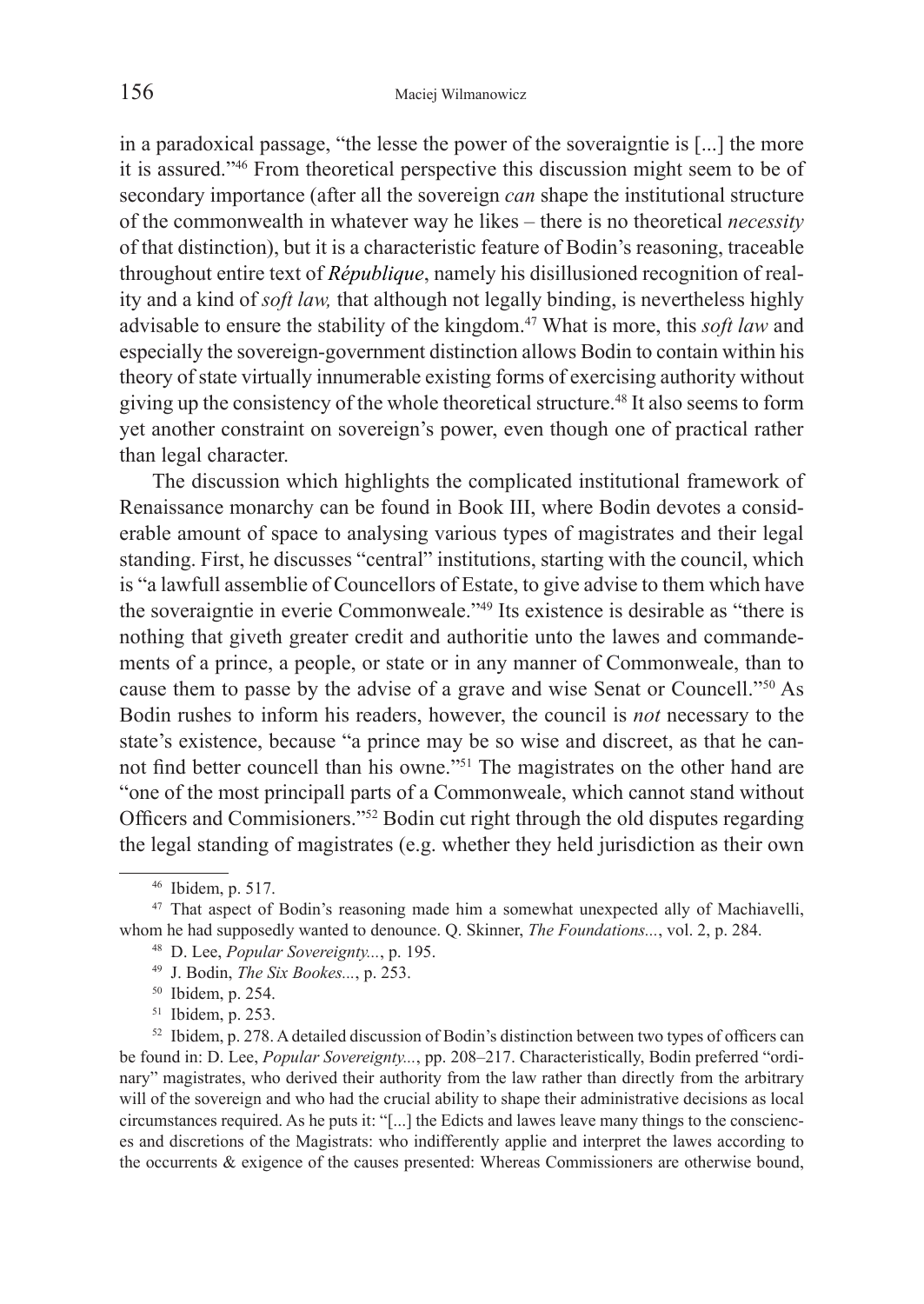in a paradoxical passage, "the lesse the power of the soveraigntie is [...] the more it is assured."46 From theoretical perspective this discussion might seem to be of secondary importance (after all the sovereign *can* shape the institutional structure of the commonwealth in whatever way he likes – there is no theoretical *necessity*  of that distinction), but it is a characteristic feature of Bodin's reasoning, traceable throughout entire text of *République*, namely his disillusioned recognition of reality and a kind of *soft law,* that although not legally binding, is nevertheless highly advisable to ensure the stability of the kingdom.47 What is more, this *soft law* and especially the sovereign-government distinction allows Bodin to contain within his theory of state virtually innumerable existing forms of exercising authority without giving up the consistency of the whole theoretical structure.48 It also seems to form yet another constraint on sovereign's power, even though one of practical rather than legal character.

The discussion which highlights the complicated institutional framework of Renaissance monarchy can be found in Book III, where Bodin devotes a considerable amount of space to analysing various types of magistrates and their legal standing. First, he discusses "central" institutions, starting with the council, which is "a lawfull assemblie of Councellors of Estate, to give advise to them which have the soveraigntie in everie Commonweale."49 Its existence is desirable as "there is nothing that giveth greater credit and authoritie unto the lawes and commandements of a prince, a people, or state or in any manner of Commonweale, than to cause them to passe by the advise of a grave and wise Senat or Councell."50 As Bodin rushes to inform his readers, however, the council is *not* necessary to the state's existence, because "a prince may be so wise and discreet, as that he cannot find better councell than his owne."51 The magistrates on the other hand are "one of the most principall parts of a Commonweale, which cannot stand without Officers and Commisioners."52 Bodin cut right through the old disputes regarding the legal standing of magistrates (e.g. whether they held jurisdiction as their own

<sup>51</sup> Ibidem, p. 253.<br><sup>52</sup> Ibidem, p. 278. A detailed discussion of Bodin's distinction between two types of officers can be found in: D. Lee, *Popular Sovereignty...*, pp. 208–217. Characteristically, Bodin preferred "ordinary" magistrates, who derived their authority from the law rather than directly from the arbitrary will of the sovereign and who had the crucial ability to shape their administrative decisions as local circumstances required. As he puts it: "[...] the Edicts and lawes leave many things to the consciences and discretions of the Magistrats: who indifferently applie and interpret the lawes according to the occurrents & exigence of the causes presented: Whereas Commissioners are otherwise bound,

<sup>46</sup> Ibidem, p. 517.

<sup>&</sup>lt;sup>47</sup> That aspect of Bodin's reasoning made him a somewhat unexpected ally of Machiavelli, whom he had supposedly wanted to denounce. Q. Skinner, *The Foundations...*, vol. 2, p. 284.

<sup>48</sup> D. Lee, *Popular Sovereignty...*, p. 195. 49 J. Bodin, *The Six Bookes...*, p. 253.

<sup>50</sup> Ibidem, p. 254.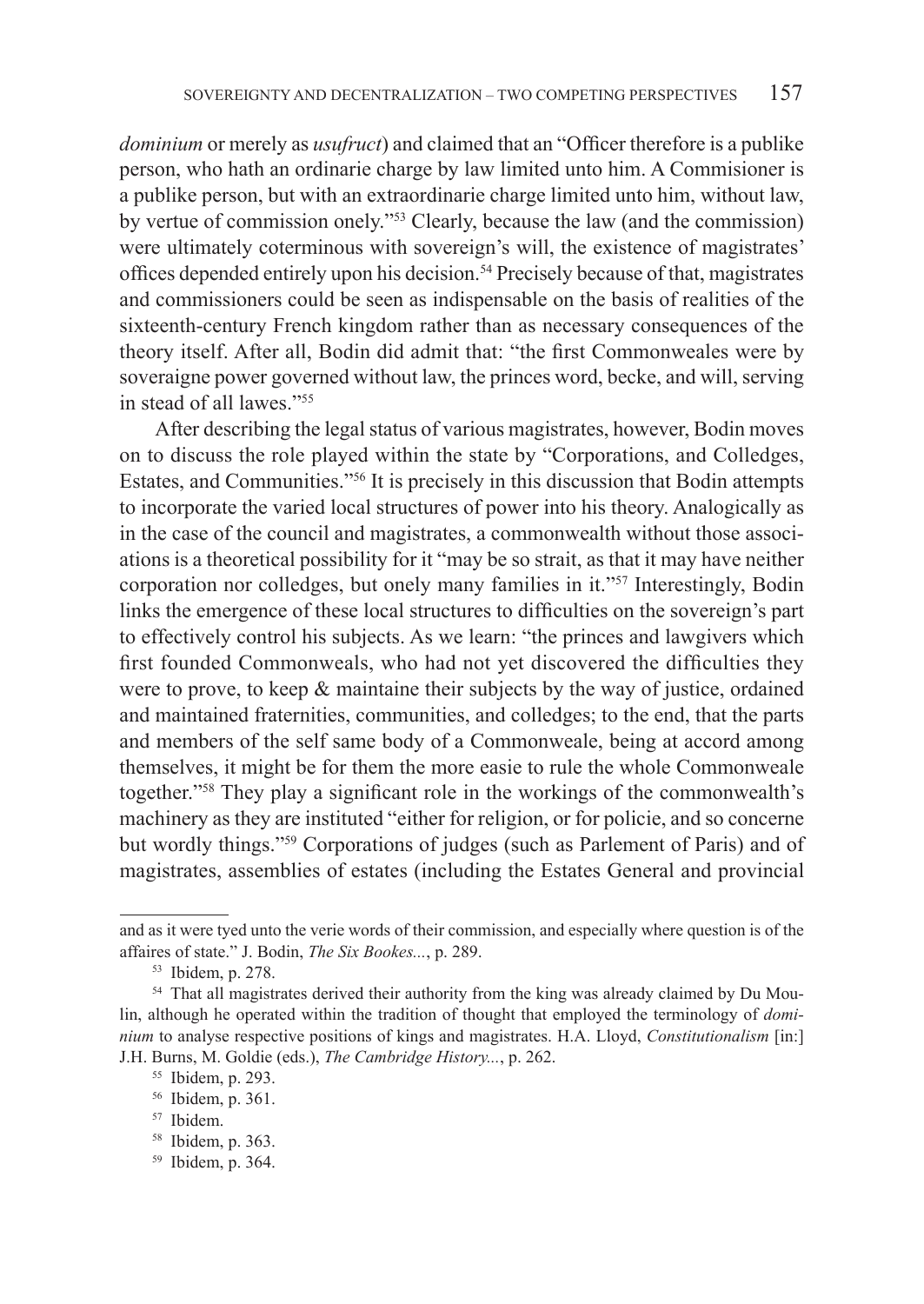*dominium* or merely as *usufruct*) and claimed that an "Officer therefore is a publike person, who hath an ordinarie charge by law limited unto him. A Commisioner is a publike person, but with an extraordinarie charge limited unto him, without law, by vertue of commission onely."53 Clearly, because the law (and the commission) were ultimately coterminous with sovereign's will, the existence of magistrates' offices depended entirely upon his decision.<sup>54</sup> Precisely because of that, magistrates and commissioners could be seen as indispensable on the basis of realities of the sixteenth-century French kingdom rather than as necessary consequences of the theory itself. After all, Bodin did admit that: "the first Commonweales were by soveraigne power governed without law, the princes word, becke, and will, serving in stead of all lawes."55

 After describing the legal status of various magistrates, however, Bodin moves on to discuss the role played within the state by "Corporations, and Colledges, Estates, and Communities."56 It is precisely in this discussion that Bodin attempts to incorporate the varied local structures of power into his theory. Analogically as in the case of the council and magistrates, a commonwealth without those associations is a theoretical possibility for it "may be so strait, as that it may have neither corporation nor colledges, but onely many families in it."57 Interestingly, Bodin links the emergence of these local structures to difficulties on the sovereign's part to effectively control his subjects. As we learn: "the princes and lawgivers which first founded Commonweals, who had not yet discovered the difficulties they were to prove, to keep  $\&$  maintaine their subjects by the way of justice, ordained and maintained fraternities, communities, and colledges; to the end, that the parts and members of the self same body of a Commonweale, being at accord among themselves, it might be for them the more easie to rule the whole Commonweale together."58 They play a significant role in the workings of the commonwealth's machinery as they are instituted "either for religion, or for policie, and so concerne but wordly things."59 Corporations of judges (such as Parlement of Paris) and of magistrates, assemblies of estates (including the Estates General and provincial

<sup>59</sup> Ibidem, p. 364.

and as it were tyed unto the verie words of their commission, and especially where question is of the affaires of state." J. Bodin, *The Six Bookes...*, p. 289.

<sup>53</sup> Ibidem, p. 278.

<sup>&</sup>lt;sup>54</sup> That all magistrates derived their authority from the king was already claimed by Du Moulin, although he operated within the tradition of thought that employed the terminology of *dominium* to analyse respective positions of kings and magistrates. H.A. Lloyd, *Constitutionalism* [in:] J.H. Burns, M. Goldie (eds.), *The Cambridge History...*, p. 262.

<sup>55</sup> Ibidem, p. 293.

<sup>56</sup> Ibidem, p. 361.

<sup>57</sup> Ibidem.

<sup>58</sup> Ibidem, p. 363.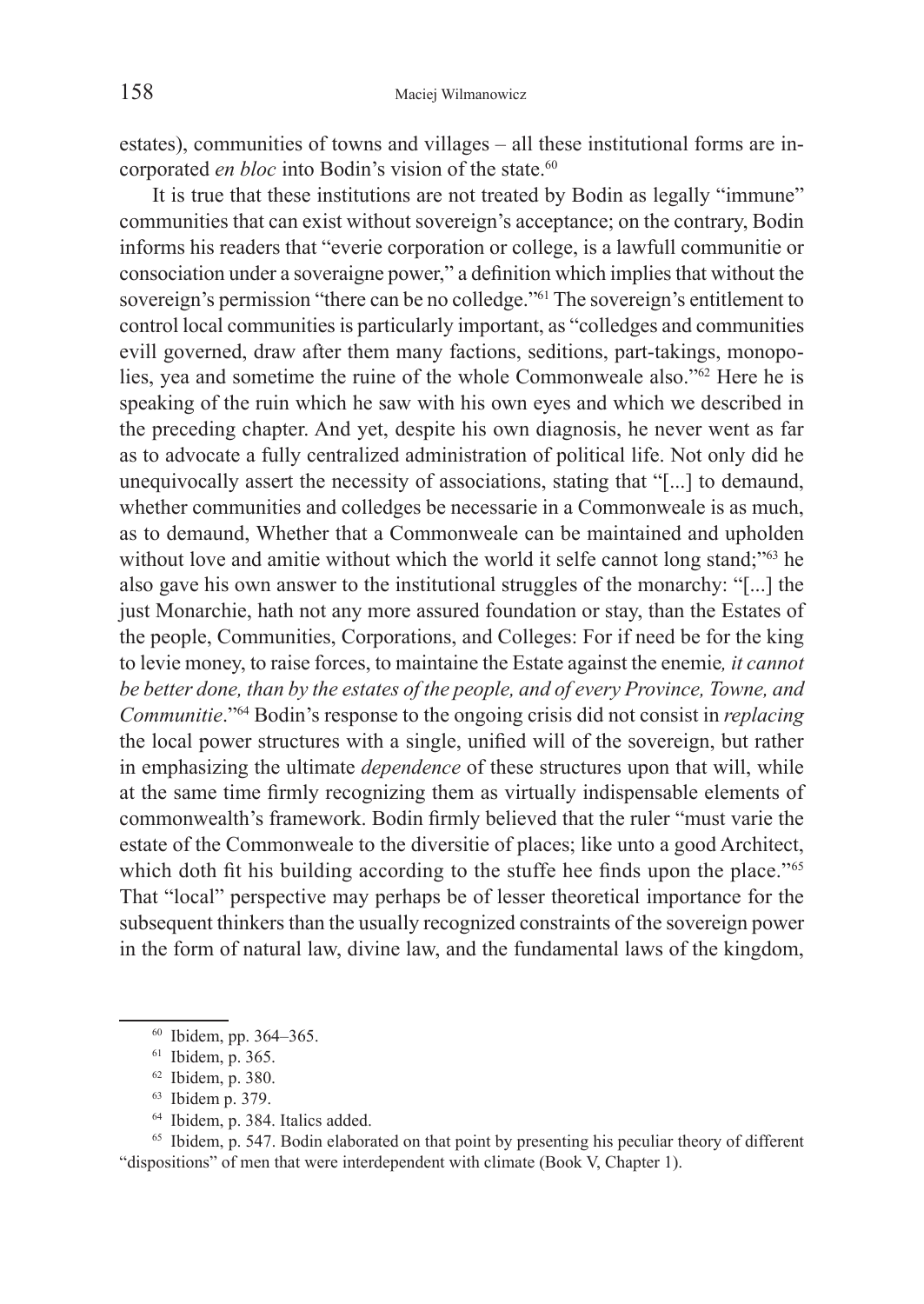estates), communities of towns and villages – all these institutional forms are incorporated *en bloc* into Bodin's vision of the state.<sup>60</sup>

It is true that these institutions are not treated by Bodin as legally "immune" communities that can exist without sovereign's acceptance; on the contrary, Bodin informs his readers that "everie corporation or college, is a lawfull communitie or consociation under a soveraigne power," a definition which implies that without the sovereign's permission "there can be no colledge."61 The sovereign's entitlement to control local communities is particularly important, as "colledges and communities evill governed, draw after them many factions, seditions, part-takings, monopolies, yea and sometime the ruine of the whole Commonweale also."62 Here he is speaking of the ruin which he saw with his own eyes and which we described in the preceding chapter. And yet, despite his own diagnosis, he never went as far as to advocate a fully centralized administration of political life. Not only did he unequivocally assert the necessity of associations, stating that "[...] to demaund, whether communities and colledges be necessarie in a Commonweale is as much, as to demaund, Whether that a Commonweale can be maintained and upholden without love and amitie without which the world it selfe cannot long stand;"<sup>63</sup> he also gave his own answer to the institutional struggles of the monarchy: "[...] the just Monarchie, hath not any more assured foundation or stay, than the Estates of the people, Communities, Corporations, and Colleges: For if need be for the king to levie money, to raise forces, to maintaine the Estate against the enemie*, it cannot be better done, than by the estates of the people, and of every Province, Towne, and Communitie*."64 Bodin's response to the ongoing crisis did not consist in *replacing* the local power structures with a single, unified will of the sovereign, but rather in emphasizing the ultimate *dependence* of these structures upon that will, while at the same time firmly recognizing them as virtually indispensable elements of commonwealth's framework. Bodin firmly believed that the ruler "must varie the estate of the Commonweale to the diversitie of places; like unto a good Architect, which doth fit his building according to the stuffe hee finds upon the place."<sup>65</sup> That "local" perspective may perhaps be of lesser theoretical importance for the subsequent thinkers than the usually recognized constraints of the sovereign power in the form of natural law, divine law, and the fundamental laws of the kingdom,

- <sup>63</sup> Ibidem p. 379.
- <sup>64</sup> Ibidem, p. 384. Italics added.

<sup>65</sup> Ibidem, p. 547. Bodin elaborated on that point by presenting his peculiar theory of different "dispositions" of men that were interdependent with climate (Book V, Chapter 1).

<sup>60</sup> Ibidem, pp. 364–365.

 $61$  Ibidem, p. 365.<br> $62$  Ibidem, p. 380.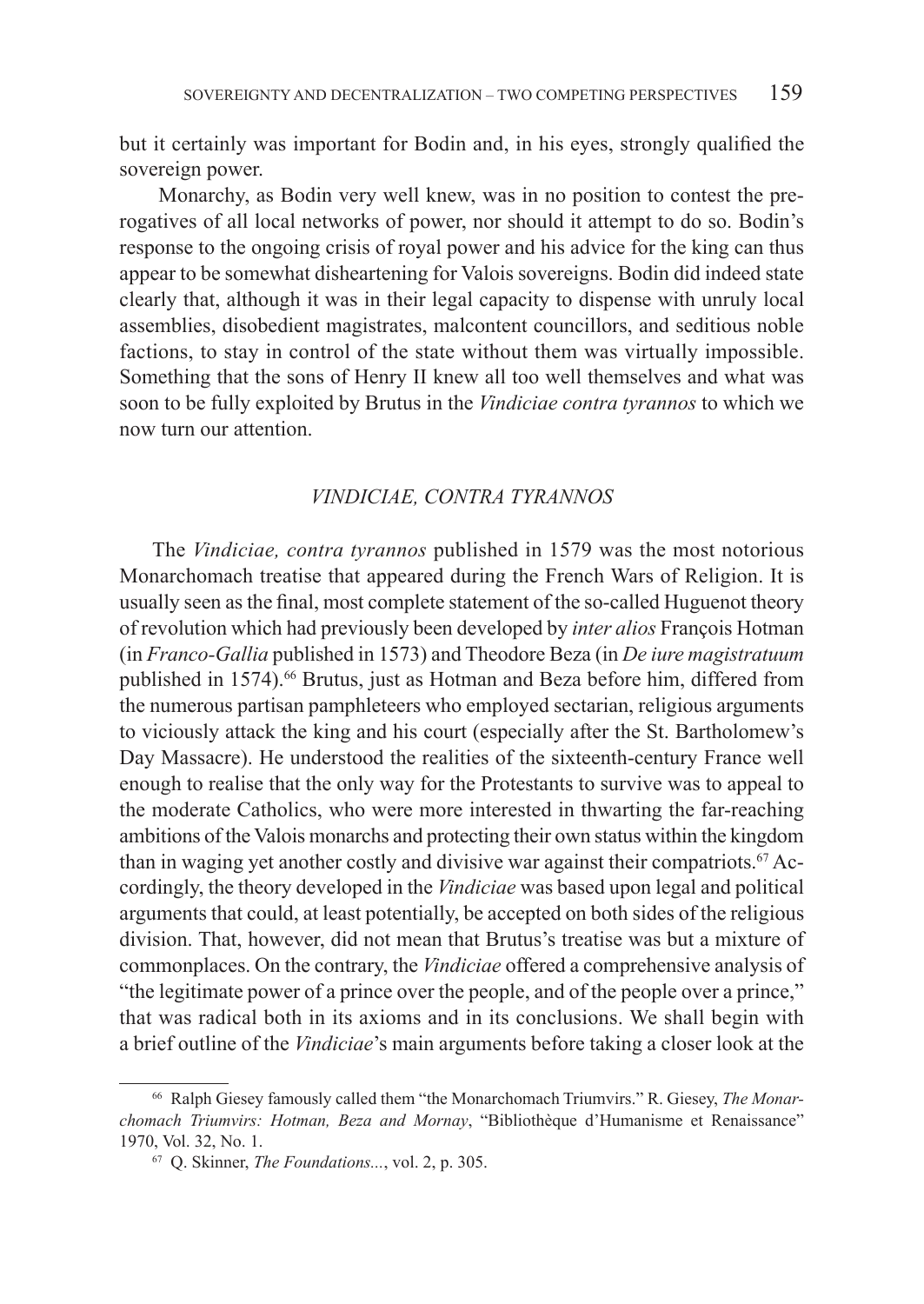but it certainly was important for Bodin and, in his eyes, strongly qualified the sovereign power.

 Monarchy, as Bodin very well knew, was in no position to contest the prerogatives of all local networks of power, nor should it attempt to do so. Bodin's response to the ongoing crisis of royal power and his advice for the king can thus appear to be somewhat disheartening for Valois sovereigns. Bodin did indeed state clearly that, although it was in their legal capacity to dispense with unruly local assemblies, disobedient magistrates, malcontent councillors, and seditious noble factions, to stay in control of the state without them was virtually impossible. Something that the sons of Henry II knew all too well themselves and what was soon to be fully exploited by Brutus in the *Vindiciae contra tyrannos* to which we now turn our attention.

## *VINDICIAE, CONTRA TYRANNOS*

The *Vindiciae, contra tyrannos* published in 1579 was the most notorious Monarchomach treatise that appeared during the French Wars of Religion. It is usually seen as the final, most complete statement of the so-called Huguenot theory of revolution which had previously been developed by *inter alios* François Hotman (in *Franco-Gallia* published in 1573) and Theodore Beza (in *De iure magistratuum*  published in 1574).<sup>66</sup> Brutus, just as Hotman and Beza before him, differed from the numerous partisan pamphleteers who employed sectarian, religious arguments to viciously attack the king and his court (especially after the St. Bartholomew's Day Massacre). He understood the realities of the sixteenth-century France well enough to realise that the only way for the Protestants to survive was to appeal to the moderate Catholics, who were more interested in thwarting the far-reaching ambitions of the Valois monarchs and protecting their own status within the kingdom than in waging yet another costly and divisive war against their compatriots.<sup>67</sup> Accordingly, the theory developed in the *Vindiciae* was based upon legal and political arguments that could, at least potentially, be accepted on both sides of the religious division. That, however, did not mean that Brutus's treatise was but a mixture of commonplaces. On the contrary, the *Vindiciae* offered a comprehensive analysis of "the legitimate power of a prince over the people, and of the people over a prince," that was radical both in its axioms and in its conclusions. We shall begin with a brief outline of the *Vindiciae*'s main arguments before taking a closer look at the

<sup>66</sup> Ralph Giesey famously called them "the Monarchomach Triumvirs." R. Giesey, *The Monarchomach Triumvirs: Hotman, Beza and Mornay*, "Bibliothèque d'Humanisme et Renaissance" 1970, Vol. 32, No. 1.

<sup>67</sup> Q. Skinner, *The Foundations...*, vol. 2, p. 305.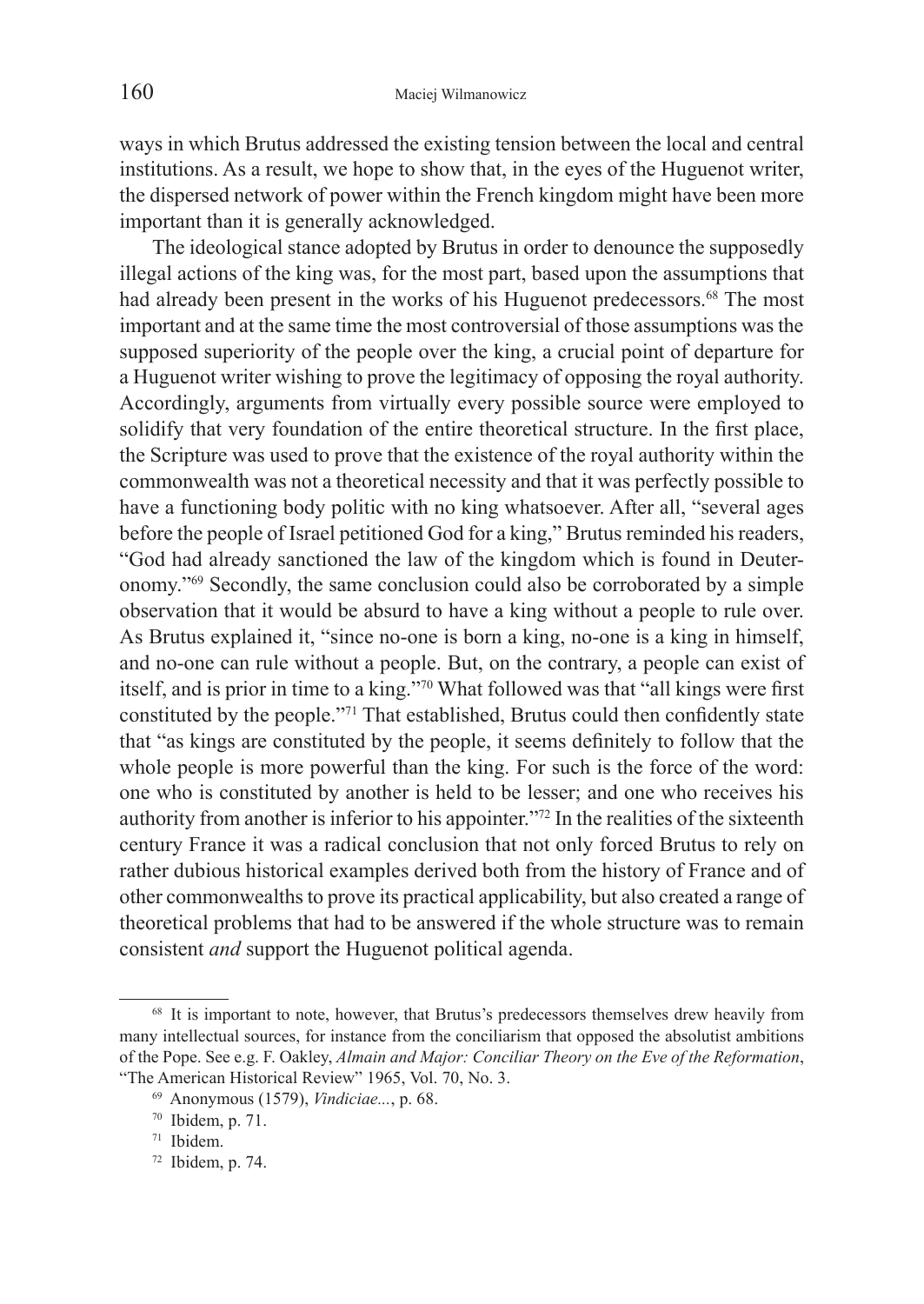ways in which Brutus addressed the existing tension between the local and central institutions. As a result, we hope to show that, in the eyes of the Huguenot writer, the dispersed network of power within the French kingdom might have been more important than it is generally acknowledged.

The ideological stance adopted by Brutus in order to denounce the supposedly illegal actions of the king was, for the most part, based upon the assumptions that had already been present in the works of his Huguenot predecessors.<sup>68</sup> The most important and at the same time the most controversial of those assumptions was the supposed superiority of the people over the king, a crucial point of departure for a Huguenot writer wishing to prove the legitimacy of opposing the royal authority. Accordingly, arguments from virtually every possible source were employed to solidify that very foundation of the entire theoretical structure. In the first place, the Scripture was used to prove that the existence of the royal authority within the commonwealth was not a theoretical necessity and that it was perfectly possible to have a functioning body politic with no king whatsoever. After all, "several ages before the people of Israel petitioned God for a king," Brutus reminded his readers, "God had already sanctioned the law of the kingdom which is found in Deuteronomy."69 Secondly, the same conclusion could also be corroborated by a simple observation that it would be absurd to have a king without a people to rule over. As Brutus explained it, "since no-one is born a king, no-one is a king in himself, and no-one can rule without a people. But, on the contrary, a people can exist of itself, and is prior in time to a king."70 What followed was that "all kings were first constituted by the people."71 That established, Brutus could then confidently state that "as kings are constituted by the people, it seems definitely to follow that the whole people is more powerful than the king. For such is the force of the word: one who is constituted by another is held to be lesser; and one who receives his authority from another is inferior to his appointer."72 In the realities of the sixteenth century France it was a radical conclusion that not only forced Brutus to rely on rather dubious historical examples derived both from the history of France and of other commonwealths to prove its practical applicability, but also created a range of theoretical problems that had to be answered if the whole structure was to remain consistent *and* support the Huguenot political agenda.

<sup>&</sup>lt;sup>68</sup> It is important to note, however, that Brutus's predecessors themselves drew heavily from many intellectual sources, for instance from the conciliarism that opposed the absolutist ambitions of the Pope. See e.g. F. Oakley, *Almain and Major: Conciliar Theory on the Eve of the Reformation*, "The American Historical Review" 1965, Vol. 70, No. 3. 69 Anonymous (1579), *Vindiciae...*, p. 68.

<sup>70</sup> Ibidem, p. 71.

<sup>71</sup> Ibidem.

 $72$  Ibidem, p. 74.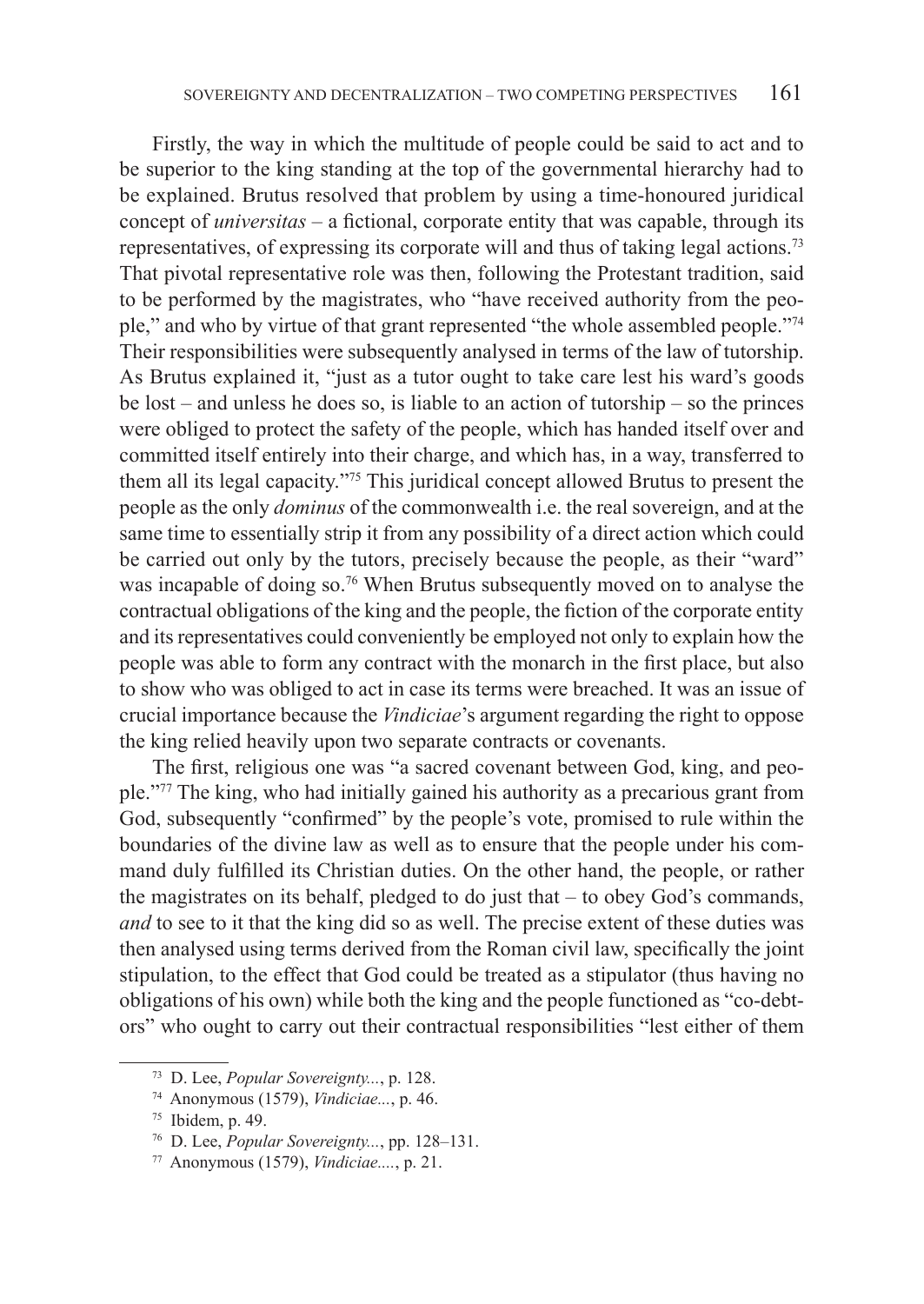Firstly, the way in which the multitude of people could be said to act and to be superior to the king standing at the top of the governmental hierarchy had to be explained. Brutus resolved that problem by using a time-honoured juridical concept of *universitas* – a fictional, corporate entity that was capable, through its representatives, of expressing its corporate will and thus of taking legal actions.73 That pivotal representative role was then, following the Protestant tradition, said to be performed by the magistrates, who "have received authority from the people," and who by virtue of that grant represented "the whole assembled people."74 Their responsibilities were subsequently analysed in terms of the law of tutorship. As Brutus explained it, "just as a tutor ought to take care lest his ward's goods be lost – and unless he does so, is liable to an action of tutorship – so the princes were obliged to protect the safety of the people, which has handed itself over and committed itself entirely into their charge, and which has, in a way, transferred to them all its legal capacity."75 This juridical concept allowed Brutus to present the people as the only *dominus* of the commonwealth i.e. the real sovereign, and at the same time to essentially strip it from any possibility of a direct action which could be carried out only by the tutors, precisely because the people, as their "ward" was incapable of doing so.<sup>76</sup> When Brutus subsequently moved on to analyse the contractual obligations of the king and the people, the fiction of the corporate entity and its representatives could conveniently be employed not only to explain how the people was able to form any contract with the monarch in the first place, but also to show who was obliged to act in case its terms were breached. It was an issue of crucial importance because the *Vindiciae*'s argument regarding the right to oppose the king relied heavily upon two separate contracts or covenants.

The first, religious one was "a sacred covenant between God, king, and people."77 The king, who had initially gained his authority as a precarious grant from God, subsequently "confirmed" by the people's vote, promised to rule within the boundaries of the divine law as well as to ensure that the people under his command duly fulfilled its Christian duties. On the other hand, the people, or rather the magistrates on its behalf, pledged to do just that – to obey God's commands, *and* to see to it that the king did so as well. The precise extent of these duties was then analysed using terms derived from the Roman civil law, specifically the joint stipulation, to the effect that God could be treated as a stipulator (thus having no obligations of his own) while both the king and the people functioned as "co-debtors" who ought to carry out their contractual responsibilities "lest either of them

<sup>73</sup> D. Lee, *Popular Sovereignty...*, p. 128. 74 Anonymous (1579), *Vindiciae...*, p. 46.

 $75$  Ibidem, p. 49.

<sup>76</sup> D. Lee, *Popular Sovereignty...*, pp. 128–131.

<sup>77</sup> Anonymous (1579), *Vindiciae....*, p. 21.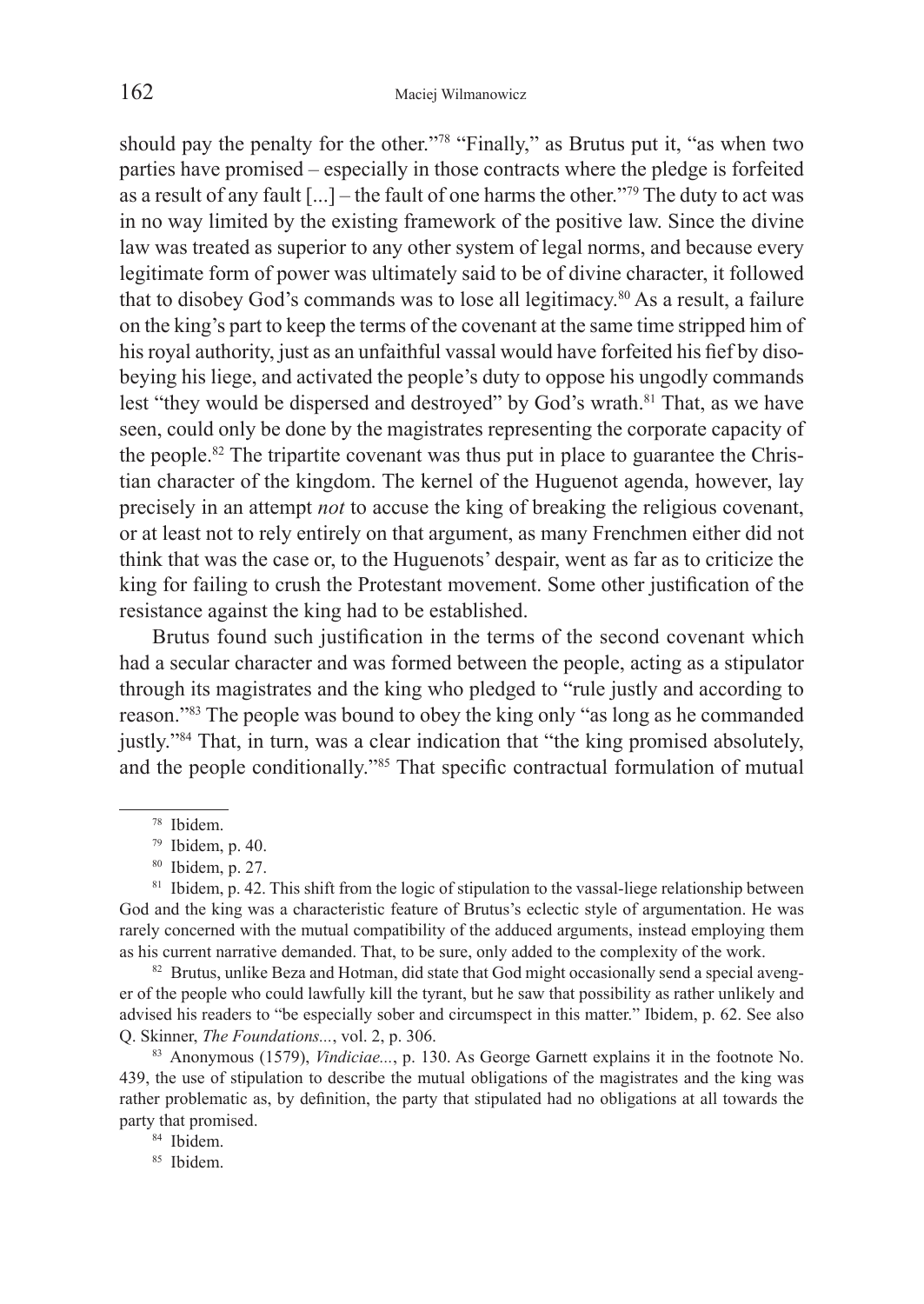should pay the penalty for the other."78 "Finally," as Brutus put it, "as when two parties have promised – especially in those contracts where the pledge is forfeited as a result of any fault  $[\dots]$  – the fault of one harms the other."<sup>79</sup> The duty to act was in no way limited by the existing framework of the positive law. Since the divine law was treated as superior to any other system of legal norms, and because every legitimate form of power was ultimately said to be of divine character, it followed that to disobey God's commands was to lose all legitimacy.80 As a result, a failure on the king's part to keep the terms of the covenant at the same time stripped him of his royal authority, just as an unfaithful vassal would have forfeited his fief by disobeying his liege, and activated the people's duty to oppose his ungodly commands lest "they would be dispersed and destroyed" by God's wrath.<sup>81</sup> That, as we have seen, could only be done by the magistrates representing the corporate capacity of the people.82 The tripartite covenant was thus put in place to guarantee the Christian character of the kingdom. The kernel of the Huguenot agenda, however, lay precisely in an attempt *not* to accuse the king of breaking the religious covenant, or at least not to rely entirely on that argument, as many Frenchmen either did not think that was the case or, to the Huguenots' despair, went as far as to criticize the king for failing to crush the Protestant movement. Some other justification of the resistance against the king had to be established.

Brutus found such justification in the terms of the second covenant which had a secular character and was formed between the people, acting as a stipulator through its magistrates and the king who pledged to "rule justly and according to reason."83 The people was bound to obey the king only "as long as he commanded justly."84 That, in turn, was a clear indication that "the king promised absolutely, and the people conditionally."85 That specific contractual formulation of mutual

er of the people who could lawfully kill the tyrant, but he saw that possibility as rather unlikely and advised his readers to "be especially sober and circumspect in this matter." Ibidem, p. 62. See also Q. Skinner, *The Foundations...*, vol. 2, p. 306.

83 Anonymous (1579), *Vindiciae...*, p. 130. As George Garnett explains it in the footnote No. 439, the use of stipulation to describe the mutual obligations of the magistrates and the king was rather problematic as, by definition, the party that stipulated had no obligations at all towards the party that promised.<br><sup>84</sup> Ibidem.

<sup>85</sup> Ibidem.

<sup>78</sup> Ibidem.

<sup>79</sup> Ibidem, p. 40.

<sup>&</sup>lt;sup>80</sup> Ibidem, p. 27.<br><sup>81</sup> Ibidem, p. 42. This shift from the logic of stipulation to the vassal-liege relationship between God and the king was a characteristic feature of Brutus's eclectic style of argumentation. He was rarely concerned with the mutual compatibility of the adduced arguments, instead employing them as his current narrative demanded. That, to be sure, only added to the complexity of the work.<br><sup>82</sup> Brutus, unlike Beza and Hotman, did state that God might occasionally send a special aveng-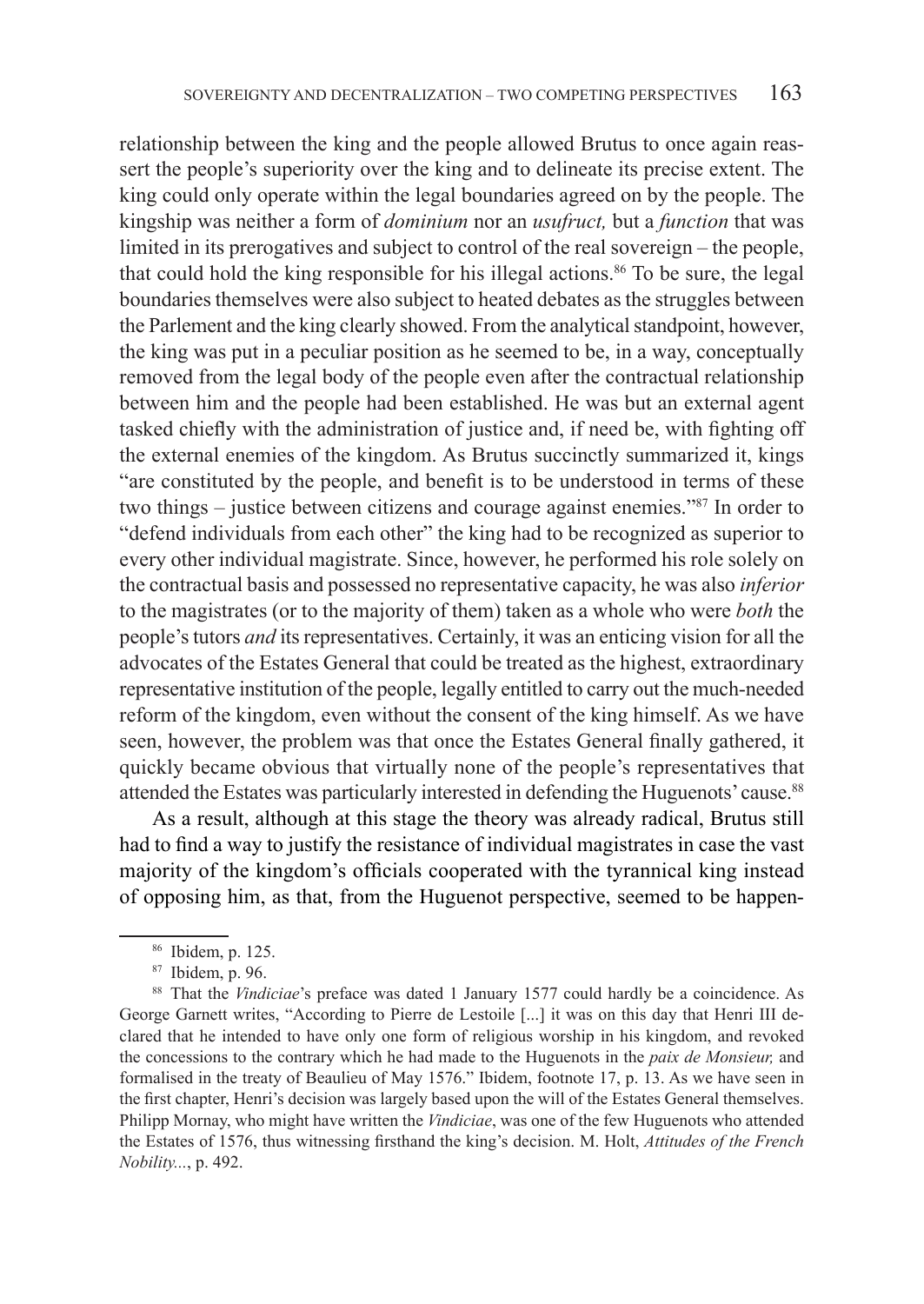relationship between the king and the people allowed Brutus to once again reassert the people's superiority over the king and to delineate its precise extent. The king could only operate within the legal boundaries agreed on by the people. The kingship was neither a form of *dominium* nor an *usufruct,* but a *function* that was limited in its prerogatives and subject to control of the real sovereign – the people, that could hold the king responsible for his illegal actions.<sup>86</sup> To be sure, the legal boundaries themselves were also subject to heated debates as the struggles between the Parlement and the king clearly showed. From the analytical standpoint, however, the king was put in a peculiar position as he seemed to be, in a way, conceptually removed from the legal body of the people even after the contractual relationship between him and the people had been established. He was but an external agent tasked chiefly with the administration of justice and, if need be, with fighting off the external enemies of the kingdom. As Brutus succinctly summarized it, kings "are constituted by the people, and benefit is to be understood in terms of these two things – justice between citizens and courage against enemies."87 In order to "defend individuals from each other" the king had to be recognized as superior to every other individual magistrate. Since, however, he performed his role solely on the contractual basis and possessed no representative capacity, he was also *inferior*  to the magistrates (or to the majority of them) taken as a whole who were *both* the people's tutors *and* its representatives. Certainly, it was an enticing vision for all the advocates of the Estates General that could be treated as the highest, extraordinary representative institution of the people, legally entitled to carry out the much-needed reform of the kingdom, even without the consent of the king himself. As we have seen, however, the problem was that once the Estates General finally gathered, it quickly became obvious that virtually none of the people's representatives that attended the Estates was particularly interested in defending the Huguenots' cause.<sup>88</sup>

As a result, although at this stage the theory was already radical, Brutus still had to find a way to justify the resistance of individual magistrates in case the vast majority of the kingdom's officials cooperated with the tyrannical king instead of opposing him, as that, from the Huguenot perspective, seemed to be happen-

<sup>86</sup> Ibidem, p. 125.

<sup>87</sup> Ibidem, p. 96.

<sup>88</sup> That the *Vindiciae*'s preface was dated 1 January 1577 could hardly be a coincidence. As George Garnett writes, "According to Pierre de Lestoile [...] it was on this day that Henri III declared that he intended to have only one form of religious worship in his kingdom, and revoked the concessions to the contrary which he had made to the Huguenots in the *paix de Monsieur,* and formalised in the treaty of Beaulieu of May 1576." Ibidem, footnote 17, p. 13. As we have seen in the first chapter, Henri's decision was largely based upon the will of the Estates General themselves. Philipp Mornay, who might have written the *Vindiciae*, was one of the few Huguenots who attended the Estates of 1576, thus witnessing firsthand the king's decision. M. Holt, *Attitudes of the French Nobility...*, p. 492.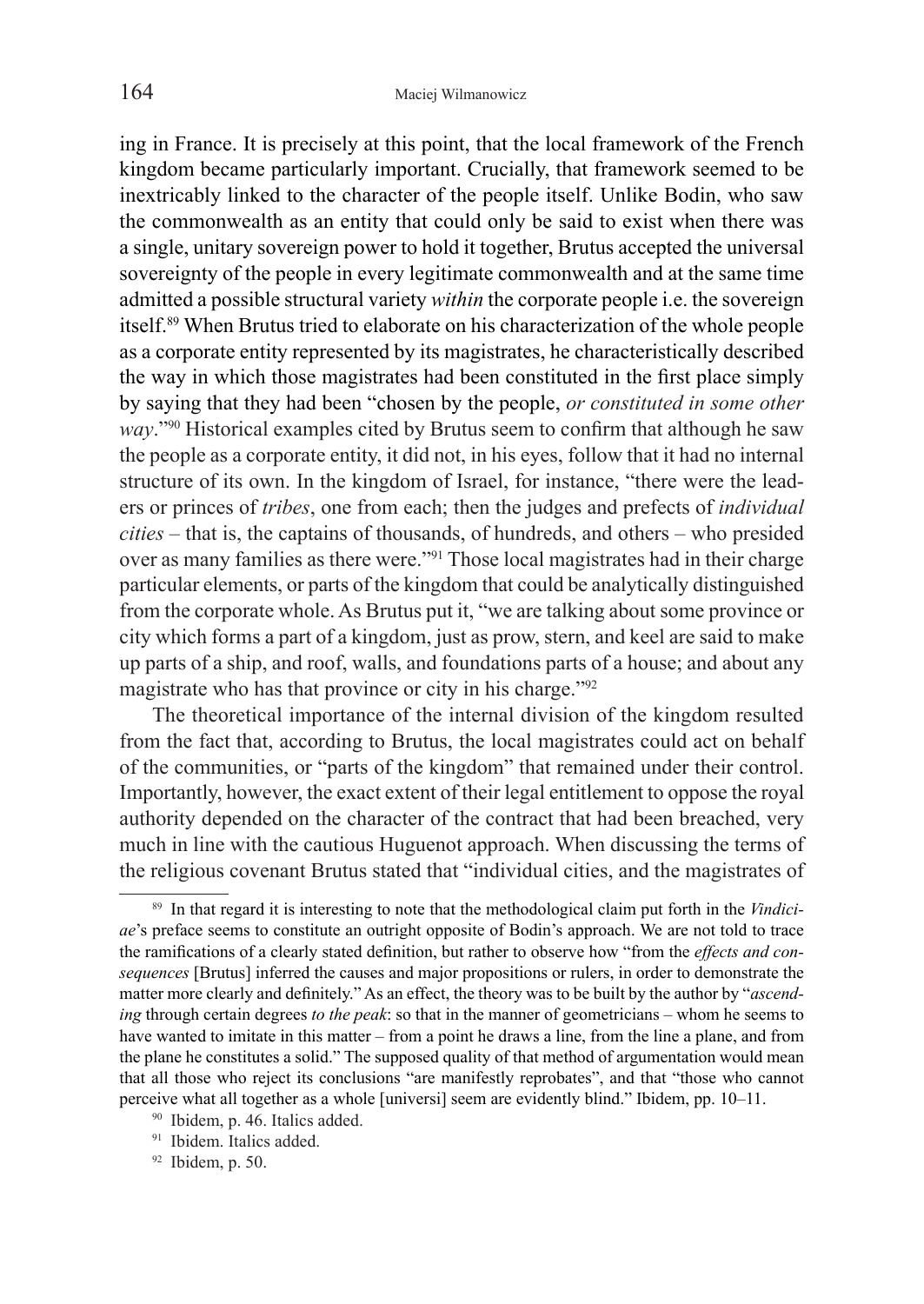ing in France. It is precisely at this point, that the local framework of the French kingdom became particularly important. Crucially, that framework seemed to be inextricably linked to the character of the people itself. Unlike Bodin, who saw the commonwealth as an entity that could only be said to exist when there was a single, unitary sovereign power to hold it together, Brutus accepted the universal sovereignty of the people in every legitimate commonwealth and at the same time admitted a possible structural variety *within* the corporate people i.e. the sovereign itself.89 When Brutus tried to elaborate on his characterization of the whole people as a corporate entity represented by its magistrates, he characteristically described the way in which those magistrates had been constituted in the first place simply by saying that they had been "chosen by the people, *or constituted in some other way*."90 Historical examples cited by Brutus seem to confirm that although he saw the people as a corporate entity, it did not, in his eyes, follow that it had no internal structure of its own. In the kingdom of Israel, for instance, "there were the leaders or princes of *tribes*, one from each; then the judges and prefects of *individual cities* – that is, the captains of thousands, of hundreds, and others – who presided over as many families as there were."91 Those local magistrates had in their charge particular elements, or parts of the kingdom that could be analytically distinguished from the corporate whole. As Brutus put it, "we are talking about some province or city which forms a part of a kingdom, just as prow, stern, and keel are said to make up parts of a ship, and roof, walls, and foundations parts of a house; and about any magistrate who has that province or city in his charge."92

The theoretical importance of the internal division of the kingdom resulted from the fact that, according to Brutus, the local magistrates could act on behalf of the communities, or "parts of the kingdom" that remained under their control. Importantly, however, the exact extent of their legal entitlement to oppose the royal authority depended on the character of the contract that had been breached, very much in line with the cautious Huguenot approach. When discussing the terms of the religious covenant Brutus stated that "individual cities, and the magistrates of

 $92$  Ibidem, p. 50.

<sup>89</sup> In that regard it is interesting to note that the methodological claim put forth in the *Vindiciae*'s preface seems to constitute an outright opposite of Bodin's approach. We are not told to trace the ramifications of a clearly stated definition, but rather to observe how "from the *effects and consequences* [Brutus] inferred the causes and major propositions or rulers, in order to demonstrate the matter more clearly and definitely." As an effect, the theory was to be built by the author by "*ascending* through certain degrees *to the peak*: so that in the manner of geometricians – whom he seems to have wanted to imitate in this matter – from a point he draws a line, from the line a plane, and from the plane he constitutes a solid." The supposed quality of that method of argumentation would mean that all those who reject its conclusions "are manifestly reprobates", and that "those who cannot perceive what all together as a whole [universi] seem are evidently blind." Ibidem, pp. 10–11.

<sup>90</sup> Ibidem, p. 46. Italics added.

<sup>&</sup>lt;sup>91</sup> Ibidem. Italics added.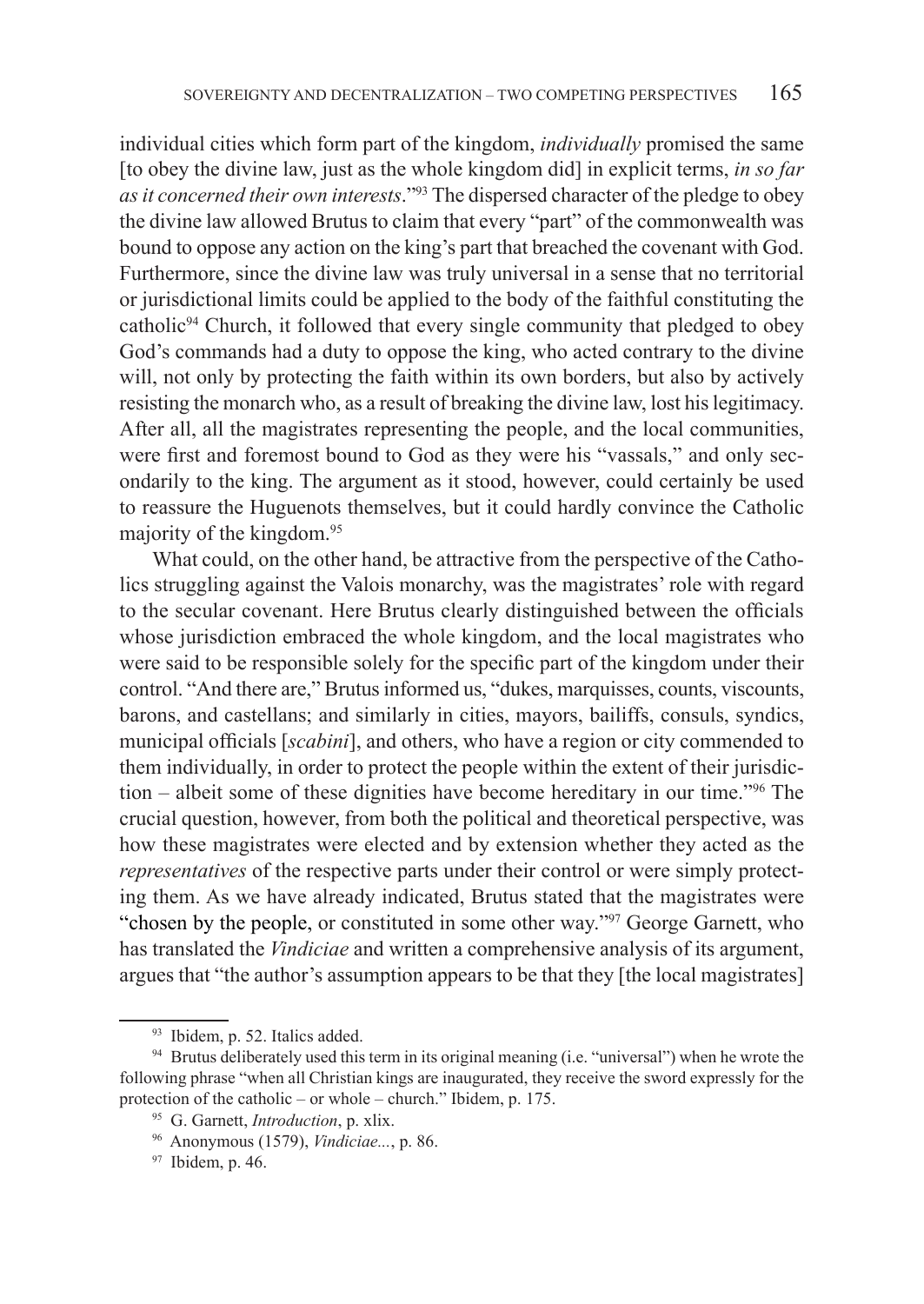individual cities which form part of the kingdom, *individually* promised the same [to obey the divine law, just as the whole kingdom did] in explicit terms, *in so far as it concerned their own interests*."93 The dispersed character of the pledge to obey the divine law allowed Brutus to claim that every "part" of the commonwealth was bound to oppose any action on the king's part that breached the covenant with God. Furthermore, since the divine law was truly universal in a sense that no territorial or jurisdictional limits could be applied to the body of the faithful constituting the catholic94 Church, it followed that every single community that pledged to obey God's commands had a duty to oppose the king, who acted contrary to the divine will, not only by protecting the faith within its own borders, but also by actively resisting the monarch who, as a result of breaking the divine law, lost his legitimacy. After all, all the magistrates representing the people, and the local communities, were first and foremost bound to God as they were his "vassals," and only secondarily to the king. The argument as it stood, however, could certainly be used to reassure the Huguenots themselves, but it could hardly convince the Catholic majority of the kingdom.95

What could, on the other hand, be attractive from the perspective of the Catholics struggling against the Valois monarchy, was the magistrates' role with regard to the secular covenant. Here Brutus clearly distinguished between the officials whose jurisdiction embraced the whole kingdom, and the local magistrates who were said to be responsible solely for the specific part of the kingdom under their control. "And there are," Brutus informed us, "dukes, marquisses, counts, viscounts, barons, and castellans; and similarly in cities, mayors, bailiffs, consuls, syndics, municipal officials [*scabini*], and others, who have a region or city commended to them individually, in order to protect the people within the extent of their jurisdiction – albeit some of these dignities have become hereditary in our time."96 The crucial question, however, from both the political and theoretical perspective, was how these magistrates were elected and by extension whether they acted as the *representatives* of the respective parts under their control or were simply protecting them. As we have already indicated, Brutus stated that the magistrates were "chosen by the people, or constituted in some other way."97 George Garnett, who has translated the *Vindiciae* and written a comprehensive analysis of its argument, argues that "the author's assumption appears to be that they [the local magistrates]

<sup>93</sup> Ibidem, p. 52. Italics added.

<sup>&</sup>lt;sup>94</sup> Brutus deliberately used this term in its original meaning (i.e. "universal") when he wrote the following phrase "when all Christian kings are inaugurated, they receive the sword expressly for the protection of the catholic – or whole – church." Ibidem, p. 175.

<sup>95</sup> G. Garnett, *Introduction*, p. xlix.

<sup>96</sup> Anonymous (1579), *Vindiciae...*, p. 86. 97 Ibidem, p. 46.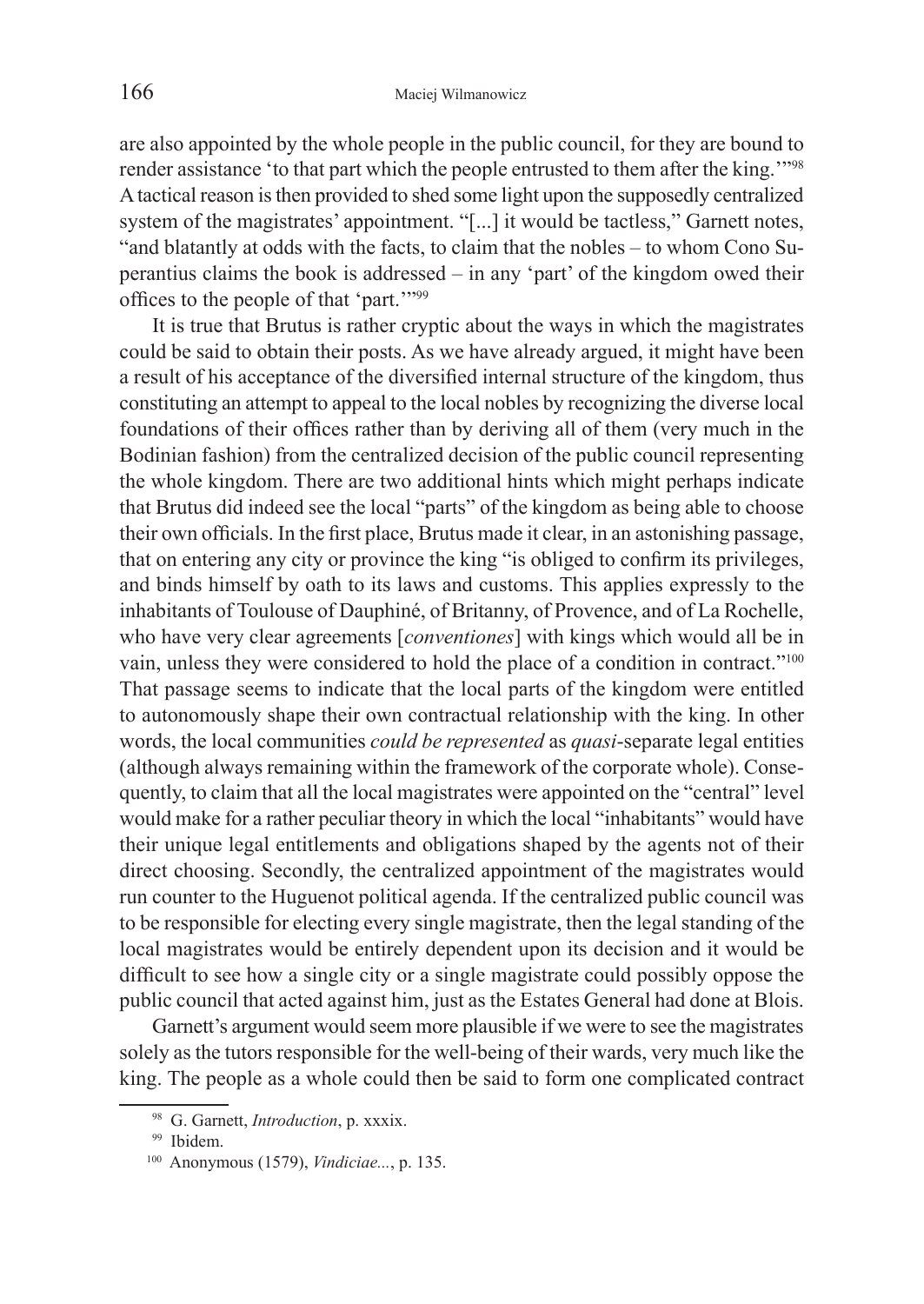are also appointed by the whole people in the public council, for they are bound to render assistance 'to that part which the people entrusted to them after the king.'"98 Atactical reason is then provided to shed some light upon the supposedly centralized system of the magistrates' appointment. "[...] it would be tactless," Garnett notes, "and blatantly at odds with the facts, to claim that the nobles – to whom Cono Superantius claims the book is addressed – in any 'part' of the kingdom owed their offices to the people of that 'part.'"99

It is true that Brutus is rather cryptic about the ways in which the magistrates could be said to obtain their posts. As we have already argued, it might have been a result of his acceptance of the diversified internal structure of the kingdom, thus constituting an attempt to appeal to the local nobles by recognizing the diverse local foundations of their offices rather than by deriving all of them (very much in the Bodinian fashion) from the centralized decision of the public council representing the whole kingdom. There are two additional hints which might perhaps indicate that Brutus did indeed see the local "parts" of the kingdom as being able to choose their own officials. In the first place, Brutus made it clear, in an astonishing passage, that on entering any city or province the king "is obliged to confirm its privileges, and binds himself by oath to its laws and customs. This applies expressly to the inhabitants of Toulouse of Dauphiné, of Britanny, of Provence, and of La Rochelle, who have very clear agreements [*conventiones*] with kings which would all be in vain, unless they were considered to hold the place of a condition in contract."<sup>100</sup> That passage seems to indicate that the local parts of the kingdom were entitled to autonomously shape their own contractual relationship with the king. In other words, the local communities *could be represented* as *quasi*-separate legal entities (although always remaining within the framework of the corporate whole). Consequently, to claim that all the local magistrates were appointed on the "central" level would make for a rather peculiar theory in which the local "inhabitants" would have their unique legal entitlements and obligations shaped by the agents not of their direct choosing. Secondly, the centralized appointment of the magistrates would run counter to the Huguenot political agenda. If the centralized public council was to be responsible for electing every single magistrate, then the legal standing of the local magistrates would be entirely dependent upon its decision and it would be difficult to see how a single city or a single magistrate could possibly oppose the public council that acted against him, just as the Estates General had done at Blois.

Garnett's argument would seem more plausible if we were to see the magistrates solely as the tutors responsible for the well-being of their wards, very much like the king. The people as a whole could then be said to form one complicated contract

<sup>98</sup> G. Garnett, *Introduction*, p. xxxix.

<sup>&</sup>lt;sup>99</sup> Ibidem.

<sup>100</sup> Anonymous (1579), *Vindiciae...*, p. 135.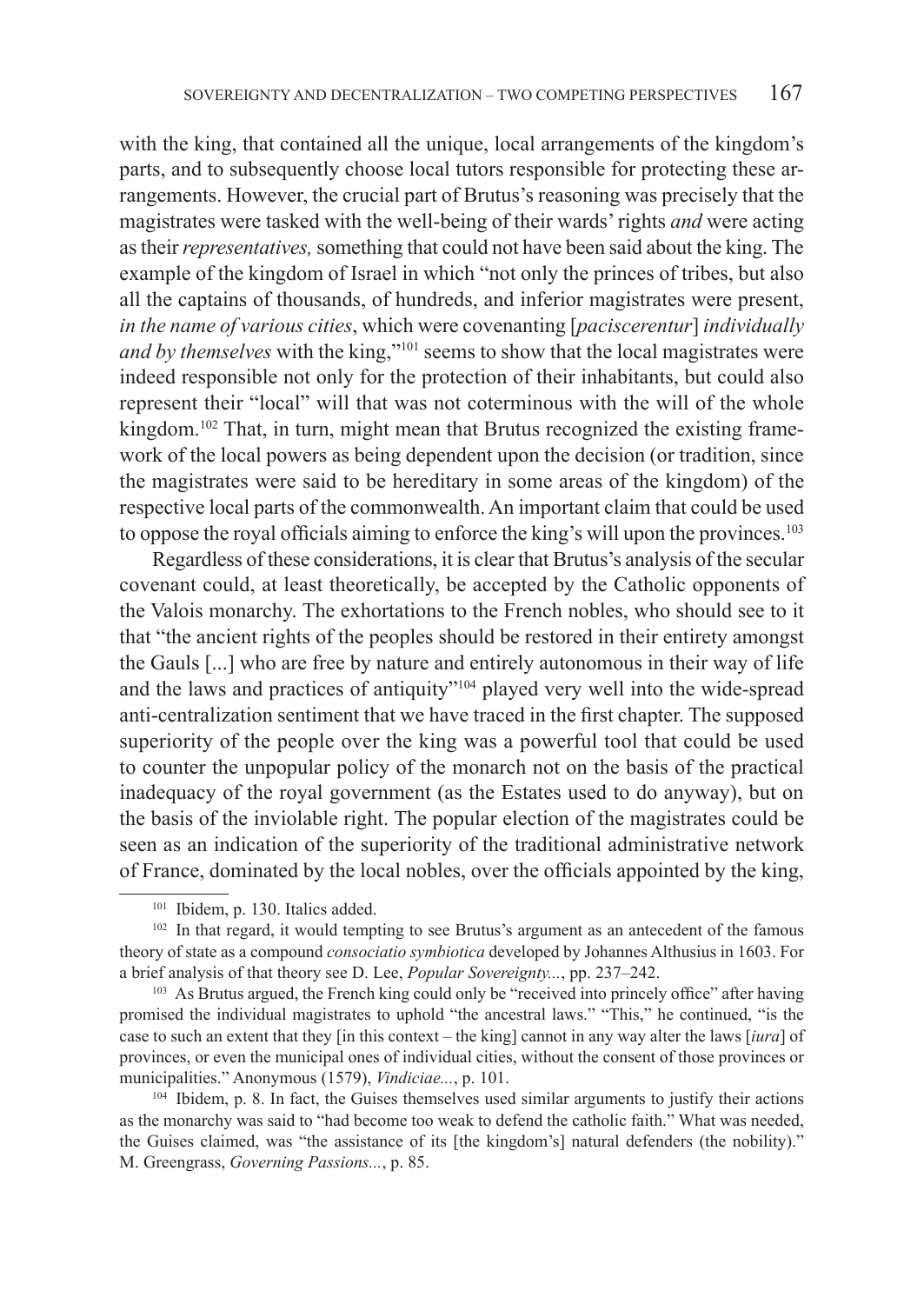with the king, that contained all the unique, local arrangements of the kingdom's parts, and to subsequently choose local tutors responsible for protecting these arrangements. However, the crucial part of Brutus's reasoning was precisely that the magistrates were tasked with the well-being of their wards' rights *and* were acting as their *representatives,* something that could not have been said about the king. The example of the kingdom of Israel in which "not only the princes of tribes, but also all the captains of thousands, of hundreds, and inferior magistrates were present, *in the name of various cities*, which were covenanting [*paciscerentur*] *individually and by themselves* with the king,"<sup>101</sup> seems to show that the local magistrates were indeed responsible not only for the protection of their inhabitants, but could also represent their "local" will that was not coterminous with the will of the whole kingdom.<sup>102</sup> That, in turn, might mean that Brutus recognized the existing framework of the local powers as being dependent upon the decision (or tradition, since the magistrates were said to be hereditary in some areas of the kingdom) of the respective local parts of the commonwealth. An important claim that could be used to oppose the royal officials aiming to enforce the king's will upon the provinces.<sup>103</sup>

Regardless of these considerations, it is clear that Brutus's analysis of the secular covenant could, at least theoretically, be accepted by the Catholic opponents of the Valois monarchy. The exhortations to the French nobles, who should see to it that "the ancient rights of the peoples should be restored in their entirety amongst the Gauls [...] who are free by nature and entirely autonomous in their way of life and the laws and practices of antiquity"104 played very well into the wide-spread anti-centralization sentiment that we have traced in the first chapter. The supposed superiority of the people over the king was a powerful tool that could be used to counter the unpopular policy of the monarch not on the basis of the practical inadequacy of the royal government (as the Estates used to do anyway), but on the basis of the inviolable right. The popular election of the magistrates could be seen as an indication of the superiority of the traditional administrative network of France, dominated by the local nobles, over the officials appointed by the king,

<sup>103</sup> As Brutus argued, the French king could only be "received into princely office" after having promised the individual magistrates to uphold "the ancestral laws." "This," he continued, "is the case to such an extent that they [in this context – the king] cannot in any way alter the laws [*iura*] of provinces, or even the municipal ones of individual cities, without the consent of those provinces or municipalities." Anonymous (1579), *Vindiciae...*, p. 101.<br><sup>104</sup> Ibidem, p. 8. In fact, the Guises themselves used similar arguments to justify their actions

as the monarchy was said to "had become too weak to defend the catholic faith." What was needed, the Guises claimed, was "the assistance of its [the kingdom's] natural defenders (the nobility)." M. Greengrass, *Governing Passions...*, p. 85.

<sup>&</sup>lt;sup>101</sup> Ibidem, p. 130. Italics added.

<sup>&</sup>lt;sup>102</sup> In that regard, it would tempting to see Brutus's argument as an antecedent of the famous theory of state as a compound *consociatio symbiotica* developed by Johannes Althusius in 1603. For a brief analysis of that theory see D. Lee, *Popular Sovereignty...*, pp. 237–242.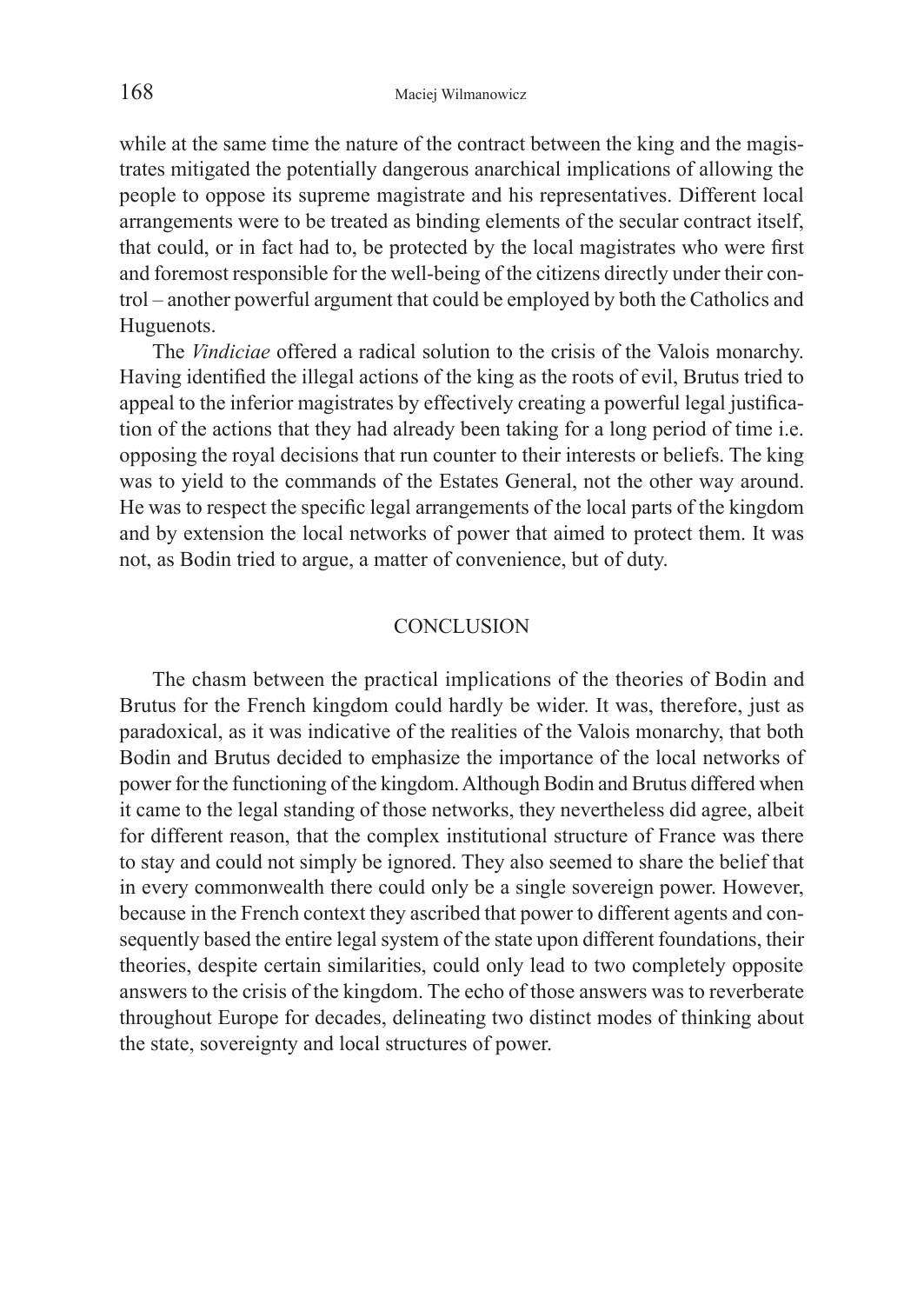while at the same time the nature of the contract between the king and the magistrates mitigated the potentially dangerous anarchical implications of allowing the people to oppose its supreme magistrate and his representatives. Different local arrangements were to be treated as binding elements of the secular contract itself, that could, or in fact had to, be protected by the local magistrates who were first and foremost responsible for the well-being of the citizens directly under their control – another powerful argument that could be employed by both the Catholics and Huguenots.

The *Vindiciae* offered a radical solution to the crisis of the Valois monarchy. Having identified the illegal actions of the king as the roots of evil, Brutus tried to appeal to the inferior magistrates by effectively creating a powerful legal justification of the actions that they had already been taking for a long period of time i.e. opposing the royal decisions that run counter to their interests or beliefs. The king was to yield to the commands of the Estates General, not the other way around. He was to respect the specific legal arrangements of the local parts of the kingdom and by extension the local networks of power that aimed to protect them. It was not, as Bodin tried to argue, a matter of convenience, but of duty.

#### **CONCLUSION**

The chasm between the practical implications of the theories of Bodin and Brutus for the French kingdom could hardly be wider. It was, therefore, just as paradoxical, as it was indicative of the realities of the Valois monarchy, that both Bodin and Brutus decided to emphasize the importance of the local networks of power for the functioning of the kingdom. Although Bodin and Brutus differed when it came to the legal standing of those networks, they nevertheless did agree, albeit for different reason, that the complex institutional structure of France was there to stay and could not simply be ignored. They also seemed to share the belief that in every commonwealth there could only be a single sovereign power. However, because in the French context they ascribed that power to different agents and consequently based the entire legal system of the state upon different foundations, their theories, despite certain similarities, could only lead to two completely opposite answers to the crisis of the kingdom. The echo of those answers was to reverberate throughout Europe for decades, delineating two distinct modes of thinking about the state, sovereignty and local structures of power.